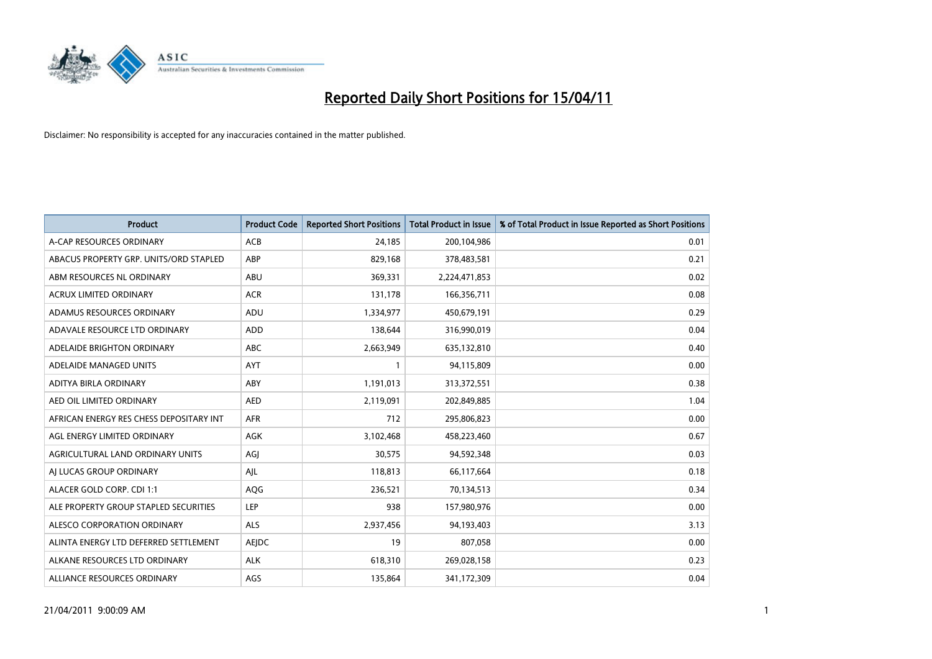

| <b>Product</b>                          | <b>Product Code</b> | <b>Reported Short Positions</b> | Total Product in Issue | % of Total Product in Issue Reported as Short Positions |
|-----------------------------------------|---------------------|---------------------------------|------------------------|---------------------------------------------------------|
| A-CAP RESOURCES ORDINARY                | <b>ACB</b>          | 24,185                          | 200,104,986            | 0.01                                                    |
| ABACUS PROPERTY GRP. UNITS/ORD STAPLED  | ABP                 | 829,168                         | 378,483,581            | 0.21                                                    |
| ABM RESOURCES NL ORDINARY               | ABU                 | 369,331                         | 2,224,471,853          | 0.02                                                    |
| ACRUX LIMITED ORDINARY                  | <b>ACR</b>          | 131,178                         | 166,356,711            | 0.08                                                    |
| ADAMUS RESOURCES ORDINARY               | ADU                 | 1,334,977                       | 450,679,191            | 0.29                                                    |
| ADAVALE RESOURCE LTD ORDINARY           | <b>ADD</b>          | 138,644                         | 316,990,019            | 0.04                                                    |
| ADELAIDE BRIGHTON ORDINARY              | <b>ABC</b>          | 2,663,949                       | 635,132,810            | 0.40                                                    |
| ADELAIDE MANAGED UNITS                  | <b>AYT</b>          |                                 | 94,115,809             | 0.00                                                    |
| ADITYA BIRLA ORDINARY                   | ABY                 | 1,191,013                       | 313,372,551            | 0.38                                                    |
| AED OIL LIMITED ORDINARY                | <b>AED</b>          | 2,119,091                       | 202,849,885            | 1.04                                                    |
| AFRICAN ENERGY RES CHESS DEPOSITARY INT | <b>AFR</b>          | 712                             | 295,806,823            | 0.00                                                    |
| AGL ENERGY LIMITED ORDINARY             | <b>AGK</b>          | 3,102,468                       | 458,223,460            | 0.67                                                    |
| AGRICULTURAL LAND ORDINARY UNITS        | AGI                 | 30,575                          | 94,592,348             | 0.03                                                    |
| AI LUCAS GROUP ORDINARY                 | AJL                 | 118,813                         | 66,117,664             | 0.18                                                    |
| ALACER GOLD CORP. CDI 1:1               | AQG                 | 236,521                         | 70,134,513             | 0.34                                                    |
| ALE PROPERTY GROUP STAPLED SECURITIES   | <b>LEP</b>          | 938                             | 157,980,976            | 0.00                                                    |
| ALESCO CORPORATION ORDINARY             | ALS                 | 2,937,456                       | 94,193,403             | 3.13                                                    |
| ALINTA ENERGY LTD DEFERRED SETTLEMENT   | AEJDC               | 19                              | 807,058                | 0.00                                                    |
| ALKANE RESOURCES LTD ORDINARY           | <b>ALK</b>          | 618,310                         | 269,028,158            | 0.23                                                    |
| ALLIANCE RESOURCES ORDINARY             | AGS                 | 135,864                         | 341,172,309            | 0.04                                                    |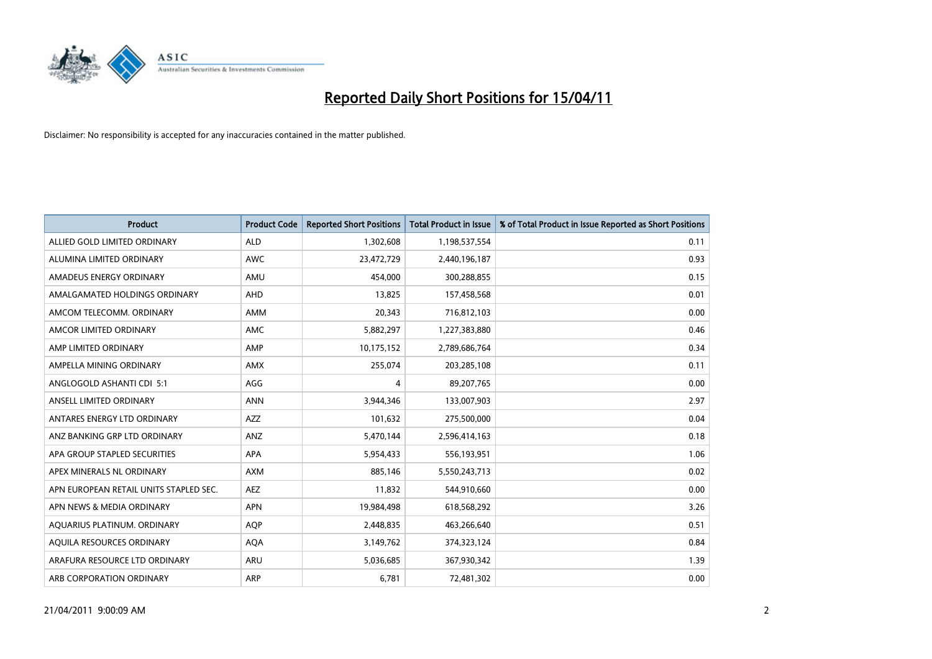

| <b>Product</b>                         | <b>Product Code</b> | <b>Reported Short Positions</b> | <b>Total Product in Issue</b> | % of Total Product in Issue Reported as Short Positions |
|----------------------------------------|---------------------|---------------------------------|-------------------------------|---------------------------------------------------------|
| ALLIED GOLD LIMITED ORDINARY           | <b>ALD</b>          | 1,302,608                       | 1,198,537,554                 | 0.11                                                    |
| ALUMINA LIMITED ORDINARY               | <b>AWC</b>          | 23,472,729                      | 2,440,196,187                 | 0.93                                                    |
| AMADEUS ENERGY ORDINARY                | AMU                 | 454,000                         | 300,288,855                   | 0.15                                                    |
| AMALGAMATED HOLDINGS ORDINARY          | AHD                 | 13,825                          | 157,458,568                   | 0.01                                                    |
| AMCOM TELECOMM, ORDINARY               | <b>AMM</b>          | 20,343                          | 716,812,103                   | 0.00                                                    |
| AMCOR LIMITED ORDINARY                 | <b>AMC</b>          | 5,882,297                       | 1,227,383,880                 | 0.46                                                    |
| AMP LIMITED ORDINARY                   | AMP                 | 10,175,152                      | 2,789,686,764                 | 0.34                                                    |
| AMPELLA MINING ORDINARY                | <b>AMX</b>          | 255,074                         | 203,285,108                   | 0.11                                                    |
| ANGLOGOLD ASHANTI CDI 5:1              | AGG                 | 4                               | 89,207,765                    | 0.00                                                    |
| ANSELL LIMITED ORDINARY                | <b>ANN</b>          | 3,944,346                       | 133,007,903                   | 2.97                                                    |
| ANTARES ENERGY LTD ORDINARY            | <b>AZZ</b>          | 101,632                         | 275,500,000                   | 0.04                                                    |
| ANZ BANKING GRP LTD ORDINARY           | ANZ                 | 5,470,144                       | 2,596,414,163                 | 0.18                                                    |
| APA GROUP STAPLED SECURITIES           | <b>APA</b>          | 5,954,433                       | 556,193,951                   | 1.06                                                    |
| APEX MINERALS NL ORDINARY              | <b>AXM</b>          | 885.146                         | 5,550,243,713                 | 0.02                                                    |
| APN EUROPEAN RETAIL UNITS STAPLED SEC. | <b>AEZ</b>          | 11,832                          | 544,910,660                   | 0.00                                                    |
| APN NEWS & MEDIA ORDINARY              | <b>APN</b>          | 19,984,498                      | 618,568,292                   | 3.26                                                    |
| AQUARIUS PLATINUM. ORDINARY            | <b>AOP</b>          | 2,448,835                       | 463,266,640                   | 0.51                                                    |
| AQUILA RESOURCES ORDINARY              | <b>AQA</b>          | 3,149,762                       | 374,323,124                   | 0.84                                                    |
| ARAFURA RESOURCE LTD ORDINARY          | ARU                 | 5,036,685                       | 367,930,342                   | 1.39                                                    |
| ARB CORPORATION ORDINARY               | ARP                 | 6,781                           | 72,481,302                    | 0.00                                                    |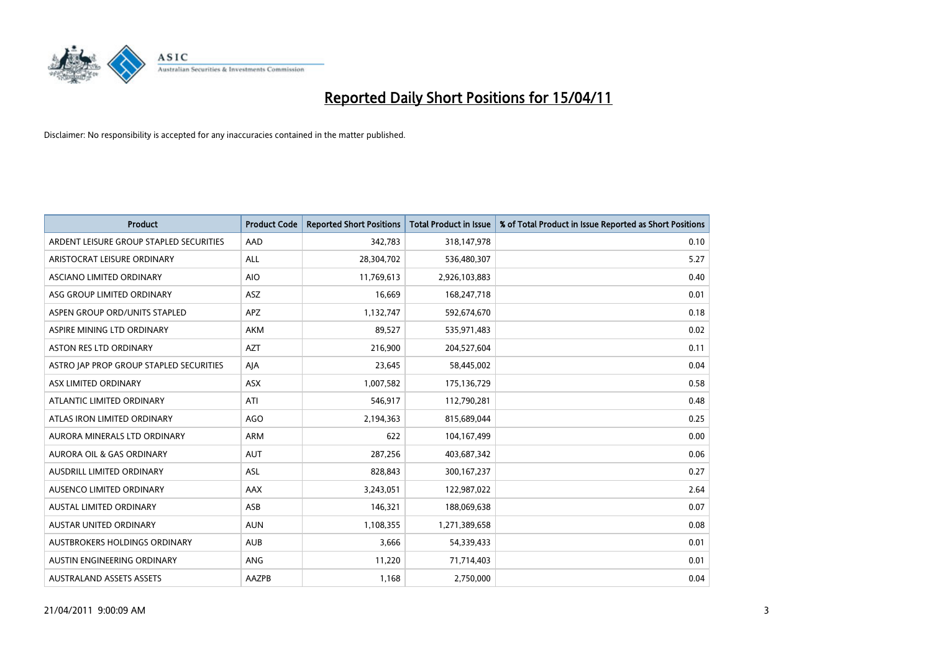

| <b>Product</b>                          | <b>Product Code</b> | <b>Reported Short Positions</b> | Total Product in Issue | % of Total Product in Issue Reported as Short Positions |
|-----------------------------------------|---------------------|---------------------------------|------------------------|---------------------------------------------------------|
| ARDENT LEISURE GROUP STAPLED SECURITIES | AAD                 | 342,783                         | 318,147,978            | 0.10                                                    |
| ARISTOCRAT LEISURE ORDINARY             | ALL                 | 28,304,702                      | 536,480,307            | 5.27                                                    |
| ASCIANO LIMITED ORDINARY                | <b>AIO</b>          | 11,769,613                      | 2,926,103,883          | 0.40                                                    |
| ASG GROUP LIMITED ORDINARY              | <b>ASZ</b>          | 16.669                          | 168,247,718            | 0.01                                                    |
| ASPEN GROUP ORD/UNITS STAPLED           | <b>APZ</b>          | 1,132,747                       | 592,674,670            | 0.18                                                    |
| ASPIRE MINING LTD ORDINARY              | <b>AKM</b>          | 89,527                          | 535,971,483            | 0.02                                                    |
| <b>ASTON RES LTD ORDINARY</b>           | <b>AZT</b>          | 216,900                         | 204,527,604            | 0.11                                                    |
| ASTRO JAP PROP GROUP STAPLED SECURITIES | AJA                 | 23,645                          | 58,445,002             | 0.04                                                    |
| ASX LIMITED ORDINARY                    | <b>ASX</b>          | 1,007,582                       | 175,136,729            | 0.58                                                    |
| ATLANTIC LIMITED ORDINARY               | ATI                 | 546,917                         | 112,790,281            | 0.48                                                    |
| ATLAS IRON LIMITED ORDINARY             | <b>AGO</b>          | 2,194,363                       | 815,689,044            | 0.25                                                    |
| AURORA MINERALS LTD ORDINARY            | <b>ARM</b>          | 622                             | 104,167,499            | 0.00                                                    |
| AURORA OIL & GAS ORDINARY               | <b>AUT</b>          | 287,256                         | 403,687,342            | 0.06                                                    |
| AUSDRILL LIMITED ORDINARY               | <b>ASL</b>          | 828,843                         | 300,167,237            | 0.27                                                    |
| AUSENCO LIMITED ORDINARY                | <b>AAX</b>          | 3,243,051                       | 122,987,022            | 2.64                                                    |
| AUSTAL LIMITED ORDINARY                 | ASB                 | 146,321                         | 188,069,638            | 0.07                                                    |
| AUSTAR UNITED ORDINARY                  | <b>AUN</b>          | 1,108,355                       | 1,271,389,658          | 0.08                                                    |
| AUSTBROKERS HOLDINGS ORDINARY           | <b>AUB</b>          | 3.666                           | 54,339,433             | 0.01                                                    |
| AUSTIN ENGINEERING ORDINARY             | ANG                 | 11,220                          | 71,714,403             | 0.01                                                    |
| <b>AUSTRALAND ASSETS ASSETS</b>         | <b>AAZPB</b>        | 1,168                           | 2,750,000              | 0.04                                                    |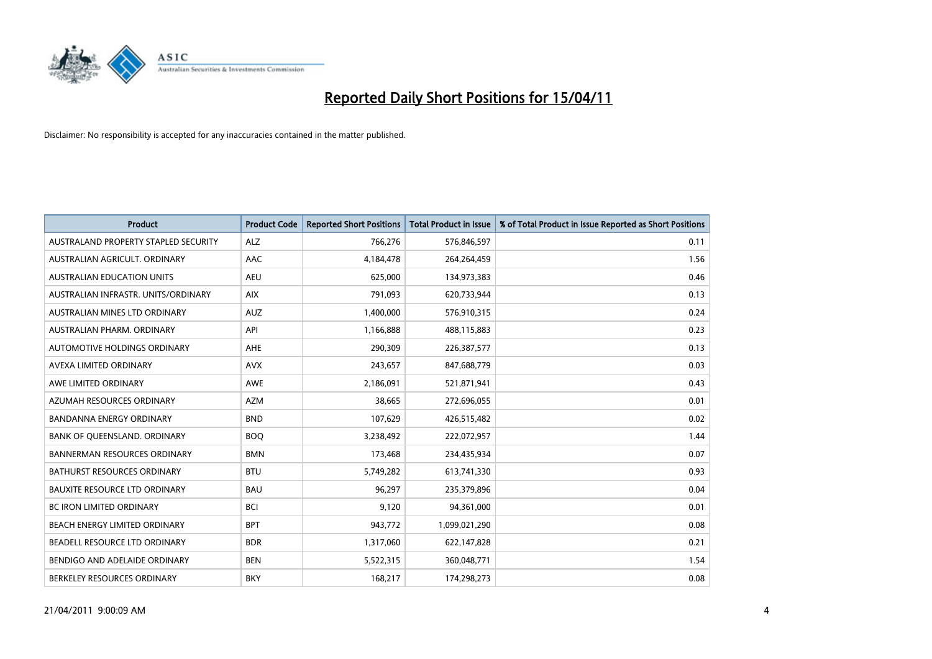

| <b>Product</b>                       | <b>Product Code</b> | <b>Reported Short Positions</b> | <b>Total Product in Issue</b> | % of Total Product in Issue Reported as Short Positions |
|--------------------------------------|---------------------|---------------------------------|-------------------------------|---------------------------------------------------------|
| AUSTRALAND PROPERTY STAPLED SECURITY | <b>ALZ</b>          | 766,276                         | 576,846,597                   | 0.11                                                    |
| AUSTRALIAN AGRICULT. ORDINARY        | <b>AAC</b>          | 4,184,478                       | 264,264,459                   | 1.56                                                    |
| <b>AUSTRALIAN EDUCATION UNITS</b>    | <b>AEU</b>          | 625.000                         | 134,973,383                   | 0.46                                                    |
| AUSTRALIAN INFRASTR. UNITS/ORDINARY  | <b>AIX</b>          | 791,093                         | 620,733,944                   | 0.13                                                    |
| AUSTRALIAN MINES LTD ORDINARY        | <b>AUZ</b>          | 1,400,000                       | 576,910,315                   | 0.24                                                    |
| AUSTRALIAN PHARM, ORDINARY           | API                 | 1,166,888                       | 488,115,883                   | 0.23                                                    |
| AUTOMOTIVE HOLDINGS ORDINARY         | <b>AHE</b>          | 290,309                         | 226,387,577                   | 0.13                                                    |
| AVEXA LIMITED ORDINARY               | <b>AVX</b>          | 243,657                         | 847,688,779                   | 0.03                                                    |
| AWE LIMITED ORDINARY                 | <b>AWE</b>          | 2,186,091                       | 521,871,941                   | 0.43                                                    |
| AZUMAH RESOURCES ORDINARY            | <b>AZM</b>          | 38,665                          | 272,696,055                   | 0.01                                                    |
| BANDANNA ENERGY ORDINARY             | <b>BND</b>          | 107,629                         | 426,515,482                   | 0.02                                                    |
| BANK OF QUEENSLAND. ORDINARY         | <b>BOO</b>          | 3,238,492                       | 222,072,957                   | 1.44                                                    |
| <b>BANNERMAN RESOURCES ORDINARY</b>  | <b>BMN</b>          | 173,468                         | 234,435,934                   | 0.07                                                    |
| BATHURST RESOURCES ORDINARY          | <b>BTU</b>          | 5,749,282                       | 613,741,330                   | 0.93                                                    |
| <b>BAUXITE RESOURCE LTD ORDINARY</b> | <b>BAU</b>          | 96.297                          | 235,379,896                   | 0.04                                                    |
| BC IRON LIMITED ORDINARY             | <b>BCI</b>          | 9,120                           | 94,361,000                    | 0.01                                                    |
| BEACH ENERGY LIMITED ORDINARY        | <b>BPT</b>          | 943,772                         | 1,099,021,290                 | 0.08                                                    |
| BEADELL RESOURCE LTD ORDINARY        | <b>BDR</b>          | 1,317,060                       | 622,147,828                   | 0.21                                                    |
| BENDIGO AND ADELAIDE ORDINARY        | <b>BEN</b>          | 5,522,315                       | 360,048,771                   | 1.54                                                    |
| BERKELEY RESOURCES ORDINARY          | <b>BKY</b>          | 168,217                         | 174,298,273                   | 0.08                                                    |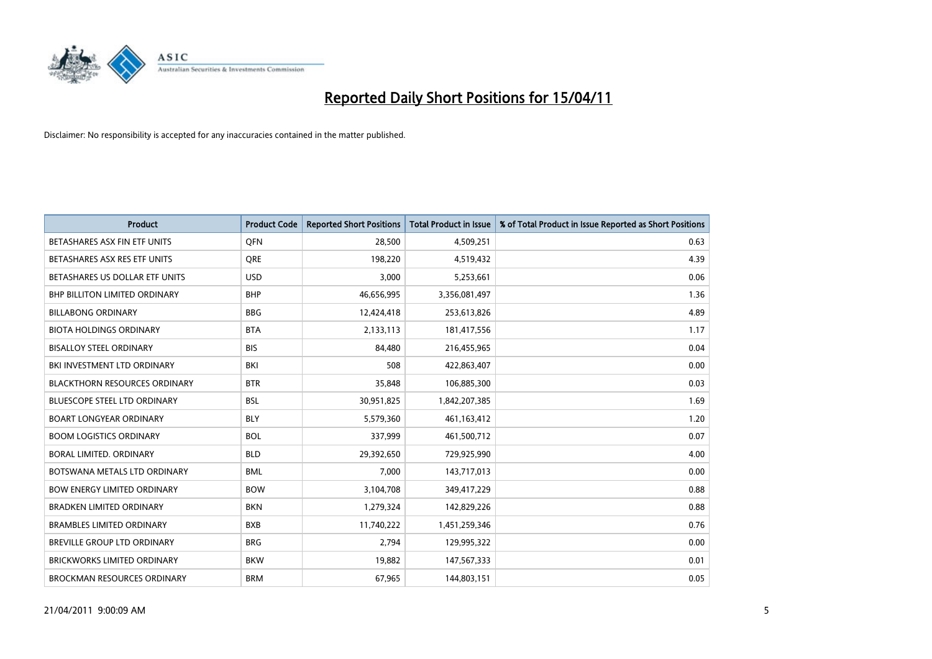

| Product                              | <b>Product Code</b> | <b>Reported Short Positions</b> | <b>Total Product in Issue</b> | % of Total Product in Issue Reported as Short Positions |
|--------------------------------------|---------------------|---------------------------------|-------------------------------|---------------------------------------------------------|
| BETASHARES ASX FIN ETF UNITS         | <b>OFN</b>          | 28,500                          | 4,509,251                     | 0.63                                                    |
| BETASHARES ASX RES ETF UNITS         | <b>ORE</b>          | 198,220                         | 4,519,432                     | 4.39                                                    |
| BETASHARES US DOLLAR ETF UNITS       | <b>USD</b>          | 3,000                           | 5,253,661                     | 0.06                                                    |
| <b>BHP BILLITON LIMITED ORDINARY</b> | <b>BHP</b>          | 46,656,995                      | 3,356,081,497                 | 1.36                                                    |
| <b>BILLABONG ORDINARY</b>            | <b>BBG</b>          | 12,424,418                      | 253,613,826                   | 4.89                                                    |
| <b>BIOTA HOLDINGS ORDINARY</b>       | <b>BTA</b>          | 2,133,113                       | 181,417,556                   | 1.17                                                    |
| <b>BISALLOY STEEL ORDINARY</b>       | <b>BIS</b>          | 84,480                          | 216,455,965                   | 0.04                                                    |
| BKI INVESTMENT LTD ORDINARY          | <b>BKI</b>          | 508                             | 422,863,407                   | 0.00                                                    |
| <b>BLACKTHORN RESOURCES ORDINARY</b> | <b>BTR</b>          | 35,848                          | 106,885,300                   | 0.03                                                    |
| <b>BLUESCOPE STEEL LTD ORDINARY</b>  | <b>BSL</b>          | 30,951,825                      | 1,842,207,385                 | 1.69                                                    |
| <b>BOART LONGYEAR ORDINARY</b>       | <b>BLY</b>          | 5,579,360                       | 461,163,412                   | 1.20                                                    |
| <b>BOOM LOGISTICS ORDINARY</b>       | <b>BOL</b>          | 337,999                         | 461,500,712                   | 0.07                                                    |
| BORAL LIMITED. ORDINARY              | <b>BLD</b>          | 29,392,650                      | 729,925,990                   | 4.00                                                    |
| BOTSWANA METALS LTD ORDINARY         | <b>BML</b>          | 7,000                           | 143,717,013                   | 0.00                                                    |
| <b>BOW ENERGY LIMITED ORDINARY</b>   | <b>BOW</b>          | 3,104,708                       | 349,417,229                   | 0.88                                                    |
| <b>BRADKEN LIMITED ORDINARY</b>      | <b>BKN</b>          | 1,279,324                       | 142,829,226                   | 0.88                                                    |
| <b>BRAMBLES LIMITED ORDINARY</b>     | <b>BXB</b>          | 11,740,222                      | 1,451,259,346                 | 0.76                                                    |
| BREVILLE GROUP LTD ORDINARY          | <b>BRG</b>          | 2,794                           | 129,995,322                   | 0.00                                                    |
| <b>BRICKWORKS LIMITED ORDINARY</b>   | <b>BKW</b>          | 19,882                          | 147,567,333                   | 0.01                                                    |
| <b>BROCKMAN RESOURCES ORDINARY</b>   | <b>BRM</b>          | 67,965                          | 144,803,151                   | 0.05                                                    |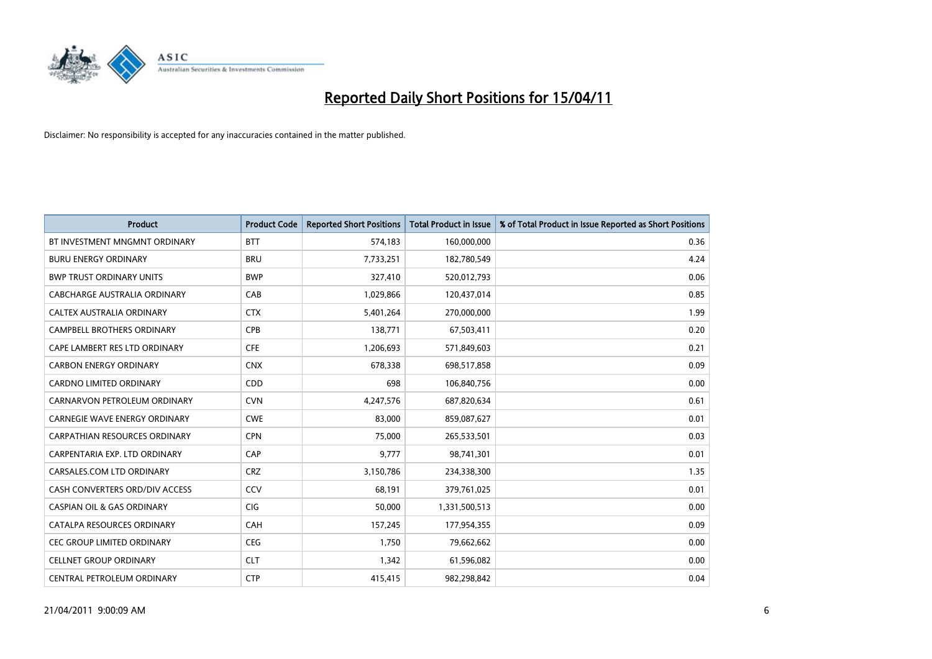

| <b>Product</b>                        | <b>Product Code</b> | <b>Reported Short Positions</b> | <b>Total Product in Issue</b> | % of Total Product in Issue Reported as Short Positions |
|---------------------------------------|---------------------|---------------------------------|-------------------------------|---------------------------------------------------------|
| BT INVESTMENT MNGMNT ORDINARY         | <b>BTT</b>          | 574,183                         | 160,000,000                   | 0.36                                                    |
| <b>BURU ENERGY ORDINARY</b>           | <b>BRU</b>          | 7,733,251                       | 182,780,549                   | 4.24                                                    |
| <b>BWP TRUST ORDINARY UNITS</b>       | <b>BWP</b>          | 327,410                         | 520,012,793                   | 0.06                                                    |
| CABCHARGE AUSTRALIA ORDINARY          | CAB                 | 1,029,866                       | 120,437,014                   | 0.85                                                    |
| CALTEX AUSTRALIA ORDINARY             | <b>CTX</b>          | 5,401,264                       | 270,000,000                   | 1.99                                                    |
| <b>CAMPBELL BROTHERS ORDINARY</b>     | CPB                 | 138,771                         | 67,503,411                    | 0.20                                                    |
| CAPE LAMBERT RES LTD ORDINARY         | <b>CFE</b>          | 1,206,693                       | 571,849,603                   | 0.21                                                    |
| <b>CARBON ENERGY ORDINARY</b>         | <b>CNX</b>          | 678,338                         | 698,517,858                   | 0.09                                                    |
| CARDNO LIMITED ORDINARY               | CDD                 | 698                             | 106,840,756                   | 0.00                                                    |
| CARNARVON PETROLEUM ORDINARY          | <b>CVN</b>          | 4,247,576                       | 687,820,634                   | 0.61                                                    |
| <b>CARNEGIE WAVE ENERGY ORDINARY</b>  | <b>CWE</b>          | 83,000                          | 859,087,627                   | 0.01                                                    |
| <b>CARPATHIAN RESOURCES ORDINARY</b>  | <b>CPN</b>          | 75,000                          | 265,533,501                   | 0.03                                                    |
| CARPENTARIA EXP. LTD ORDINARY         | CAP                 | 9.777                           | 98,741,301                    | 0.01                                                    |
| CARSALES.COM LTD ORDINARY             | <b>CRZ</b>          | 3,150,786                       | 234,338,300                   | 1.35                                                    |
| CASH CONVERTERS ORD/DIV ACCESS        | CCV                 | 68,191                          | 379,761,025                   | 0.01                                                    |
| <b>CASPIAN OIL &amp; GAS ORDINARY</b> | <b>CIG</b>          | 50,000                          | 1,331,500,513                 | 0.00                                                    |
| CATALPA RESOURCES ORDINARY            | CAH                 | 157,245                         | 177,954,355                   | 0.09                                                    |
| CEC GROUP LIMITED ORDINARY            | <b>CEG</b>          | 1,750                           | 79,662,662                    | 0.00                                                    |
| <b>CELLNET GROUP ORDINARY</b>         | <b>CLT</b>          | 1,342                           | 61,596,082                    | 0.00                                                    |
| CENTRAL PETROLEUM ORDINARY            | <b>CTP</b>          | 415,415                         | 982.298.842                   | 0.04                                                    |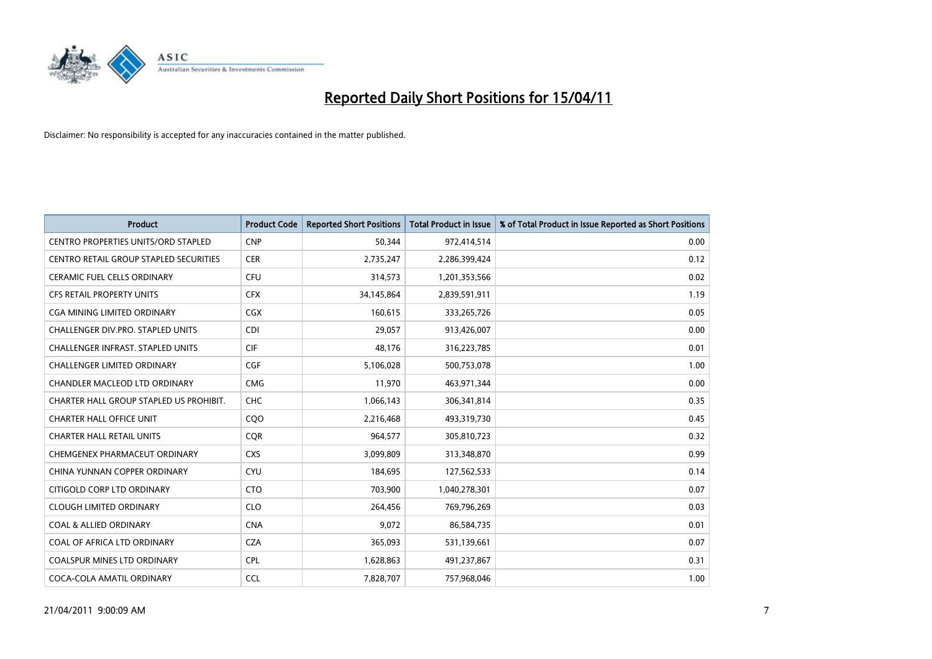

| <b>Product</b>                             | <b>Product Code</b> | <b>Reported Short Positions</b> | <b>Total Product in Issue</b> | % of Total Product in Issue Reported as Short Positions |
|--------------------------------------------|---------------------|---------------------------------|-------------------------------|---------------------------------------------------------|
| <b>CENTRO PROPERTIES UNITS/ORD STAPLED</b> | <b>CNP</b>          | 50,344                          | 972,414,514                   | 0.00                                                    |
| CENTRO RETAIL GROUP STAPLED SECURITIES     | <b>CER</b>          | 2,735,247                       | 2,286,399,424                 | 0.12                                                    |
| <b>CERAMIC FUEL CELLS ORDINARY</b>         | CFU                 | 314,573                         | 1,201,353,566                 | 0.02                                                    |
| CFS RETAIL PROPERTY UNITS                  | <b>CFX</b>          | 34,145,864                      | 2,839,591,911                 | 1.19                                                    |
| CGA MINING LIMITED ORDINARY                | CGX                 | 160,615                         | 333,265,726                   | 0.05                                                    |
| CHALLENGER DIV.PRO. STAPLED UNITS          | CDI                 | 29.057                          | 913,426,007                   | 0.00                                                    |
| <b>CHALLENGER INFRAST, STAPLED UNITS</b>   | <b>CIF</b>          | 48,176                          | 316,223,785                   | 0.01                                                    |
| CHALLENGER LIMITED ORDINARY                | CGF                 | 5,106,028                       | 500,753,078                   | 1.00                                                    |
| CHANDLER MACLEOD LTD ORDINARY              | <b>CMG</b>          | 11,970                          | 463,971,344                   | 0.00                                                    |
| CHARTER HALL GROUP STAPLED US PROHIBIT.    | <b>CHC</b>          | 1,066,143                       | 306,341,814                   | 0.35                                                    |
| <b>CHARTER HALL OFFICE UNIT</b>            | C <sub>O</sub> O    | 2,216,468                       | 493,319,730                   | 0.45                                                    |
| CHARTER HALL RETAIL UNITS                  | <b>COR</b>          | 964,577                         | 305,810,723                   | 0.32                                                    |
| CHEMGENEX PHARMACEUT ORDINARY              | <b>CXS</b>          | 3,099,809                       | 313,348,870                   | 0.99                                                    |
| CHINA YUNNAN COPPER ORDINARY               | <b>CYU</b>          | 184,695                         | 127,562,533                   | 0.14                                                    |
| CITIGOLD CORP LTD ORDINARY                 | <b>CTO</b>          | 703,900                         | 1,040,278,301                 | 0.07                                                    |
| <b>CLOUGH LIMITED ORDINARY</b>             | <b>CLO</b>          | 264,456                         | 769,796,269                   | 0.03                                                    |
| <b>COAL &amp; ALLIED ORDINARY</b>          | <b>CNA</b>          | 9,072                           | 86,584,735                    | 0.01                                                    |
| COAL OF AFRICA LTD ORDINARY                | <b>CZA</b>          | 365,093                         | 531,139,661                   | 0.07                                                    |
| <b>COALSPUR MINES LTD ORDINARY</b>         | <b>CPL</b>          | 1,628,863                       | 491,237,867                   | 0.31                                                    |
| COCA-COLA AMATIL ORDINARY                  | CCL                 | 7,828,707                       | 757,968,046                   | 1.00                                                    |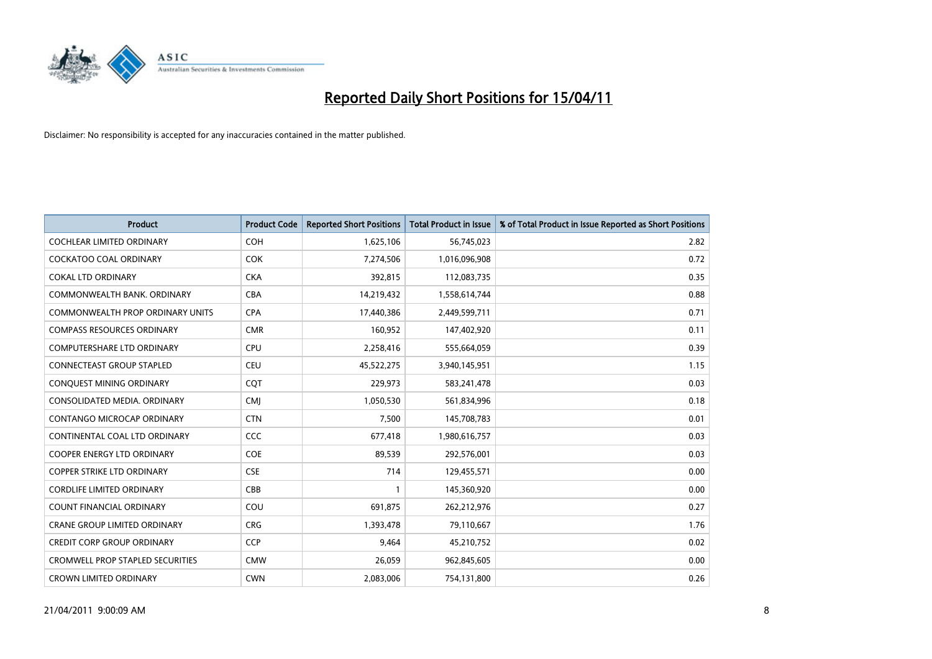

| <b>Product</b>                          | <b>Product Code</b> | <b>Reported Short Positions</b> | Total Product in Issue | % of Total Product in Issue Reported as Short Positions |
|-----------------------------------------|---------------------|---------------------------------|------------------------|---------------------------------------------------------|
| <b>COCHLEAR LIMITED ORDINARY</b>        | <b>COH</b>          | 1,625,106                       | 56,745,023             | 2.82                                                    |
| COCKATOO COAL ORDINARY                  | <b>COK</b>          | 7,274,506                       | 1,016,096,908          | 0.72                                                    |
| <b>COKAL LTD ORDINARY</b>               | <b>CKA</b>          | 392,815                         | 112,083,735            | 0.35                                                    |
| COMMONWEALTH BANK, ORDINARY             | <b>CBA</b>          | 14,219,432                      | 1,558,614,744          | 0.88                                                    |
| <b>COMMONWEALTH PROP ORDINARY UNITS</b> | <b>CPA</b>          | 17,440,386                      | 2,449,599,711          | 0.71                                                    |
| <b>COMPASS RESOURCES ORDINARY</b>       | <b>CMR</b>          | 160,952                         | 147,402,920            | 0.11                                                    |
| <b>COMPUTERSHARE LTD ORDINARY</b>       | <b>CPU</b>          | 2,258,416                       | 555,664,059            | 0.39                                                    |
| <b>CONNECTEAST GROUP STAPLED</b>        | <b>CEU</b>          | 45,522,275                      | 3,940,145,951          | 1.15                                                    |
| CONQUEST MINING ORDINARY                | CQT                 | 229,973                         | 583,241,478            | 0.03                                                    |
| CONSOLIDATED MEDIA, ORDINARY            | <b>CMI</b>          | 1,050,530                       | 561,834,996            | 0.18                                                    |
| CONTANGO MICROCAP ORDINARY              | <b>CTN</b>          | 7,500                           | 145,708,783            | 0.01                                                    |
| CONTINENTAL COAL LTD ORDINARY           | CCC                 | 677,418                         | 1,980,616,757          | 0.03                                                    |
| <b>COOPER ENERGY LTD ORDINARY</b>       | <b>COE</b>          | 89,539                          | 292,576,001            | 0.03                                                    |
| <b>COPPER STRIKE LTD ORDINARY</b>       | <b>CSE</b>          | 714                             | 129,455,571            | 0.00                                                    |
| <b>CORDLIFE LIMITED ORDINARY</b>        | CBB                 | 1                               | 145,360,920            | 0.00                                                    |
| <b>COUNT FINANCIAL ORDINARY</b>         | COU                 | 691.875                         | 262,212,976            | 0.27                                                    |
| <b>CRANE GROUP LIMITED ORDINARY</b>     | <b>CRG</b>          | 1,393,478                       | 79,110,667             | 1.76                                                    |
| <b>CREDIT CORP GROUP ORDINARY</b>       | <b>CCP</b>          | 9,464                           | 45,210,752             | 0.02                                                    |
| <b>CROMWELL PROP STAPLED SECURITIES</b> | <b>CMW</b>          | 26,059                          | 962,845,605            | 0.00                                                    |
| <b>CROWN LIMITED ORDINARY</b>           | <b>CWN</b>          | 2,083,006                       | 754,131,800            | 0.26                                                    |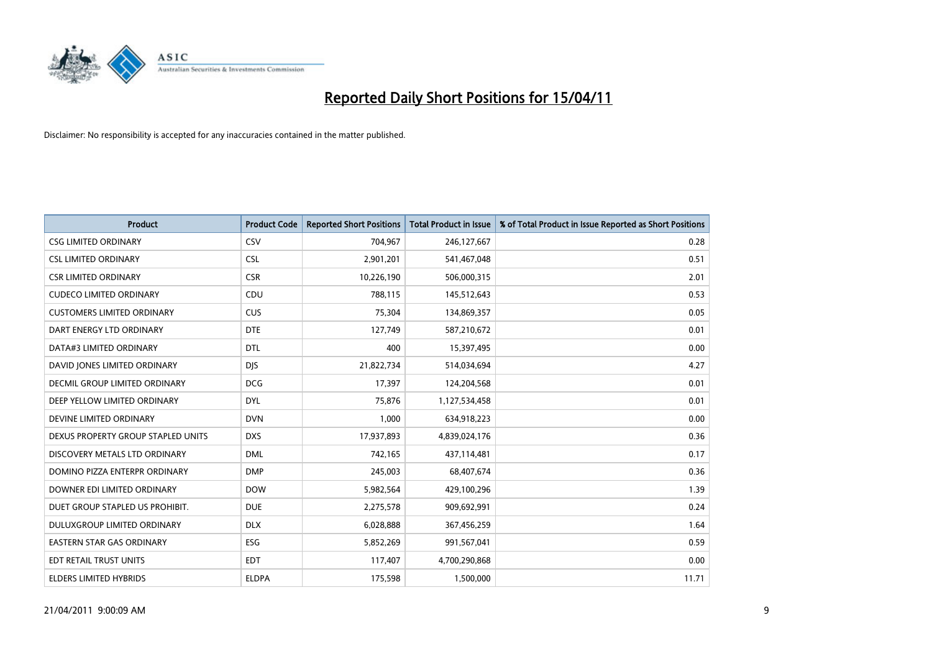

| <b>Product</b>                     | <b>Product Code</b> | <b>Reported Short Positions</b> | Total Product in Issue | % of Total Product in Issue Reported as Short Positions |
|------------------------------------|---------------------|---------------------------------|------------------------|---------------------------------------------------------|
| <b>CSG LIMITED ORDINARY</b>        | CSV                 | 704,967                         | 246,127,667            | 0.28                                                    |
| <b>CSL LIMITED ORDINARY</b>        | <b>CSL</b>          | 2,901,201                       | 541,467,048            | 0.51                                                    |
| <b>CSR LIMITED ORDINARY</b>        | <b>CSR</b>          | 10,226,190                      | 506,000,315            | 2.01                                                    |
| <b>CUDECO LIMITED ORDINARY</b>     | CDU                 | 788,115                         | 145,512,643            | 0.53                                                    |
| <b>CUSTOMERS LIMITED ORDINARY</b>  | CUS                 | 75,304                          | 134,869,357            | 0.05                                                    |
| DART ENERGY LTD ORDINARY           | <b>DTE</b>          | 127,749                         | 587,210,672            | 0.01                                                    |
| DATA#3 LIMITED ORDINARY            | DTL                 | 400                             | 15,397,495             | 0.00                                                    |
| DAVID JONES LIMITED ORDINARY       | <b>DJS</b>          | 21,822,734                      | 514,034,694            | 4.27                                                    |
| DECMIL GROUP LIMITED ORDINARY      | <b>DCG</b>          | 17,397                          | 124,204,568            | 0.01                                                    |
| DEEP YELLOW LIMITED ORDINARY       | <b>DYL</b>          | 75,876                          | 1,127,534,458          | 0.01                                                    |
| DEVINE LIMITED ORDINARY            | <b>DVN</b>          | 1,000                           | 634,918,223            | 0.00                                                    |
| DEXUS PROPERTY GROUP STAPLED UNITS | <b>DXS</b>          | 17,937,893                      | 4,839,024,176          | 0.36                                                    |
| DISCOVERY METALS LTD ORDINARY      | <b>DML</b>          | 742,165                         | 437,114,481            | 0.17                                                    |
| DOMINO PIZZA ENTERPR ORDINARY      | <b>DMP</b>          | 245,003                         | 68,407,674             | 0.36                                                    |
| DOWNER EDI LIMITED ORDINARY        | <b>DOW</b>          | 5,982,564                       | 429,100,296            | 1.39                                                    |
| DUET GROUP STAPLED US PROHIBIT.    | <b>DUE</b>          | 2,275,578                       | 909,692,991            | 0.24                                                    |
| DULUXGROUP LIMITED ORDINARY        | <b>DLX</b>          | 6,028,888                       | 367,456,259            | 1.64                                                    |
| EASTERN STAR GAS ORDINARY          | <b>ESG</b>          | 5,852,269                       | 991,567,041            | 0.59                                                    |
| EDT RETAIL TRUST UNITS             | <b>EDT</b>          | 117,407                         | 4,700,290,868          | 0.00                                                    |
| <b>ELDERS LIMITED HYBRIDS</b>      | <b>ELDPA</b>        | 175,598                         | 1,500,000              | 11.71                                                   |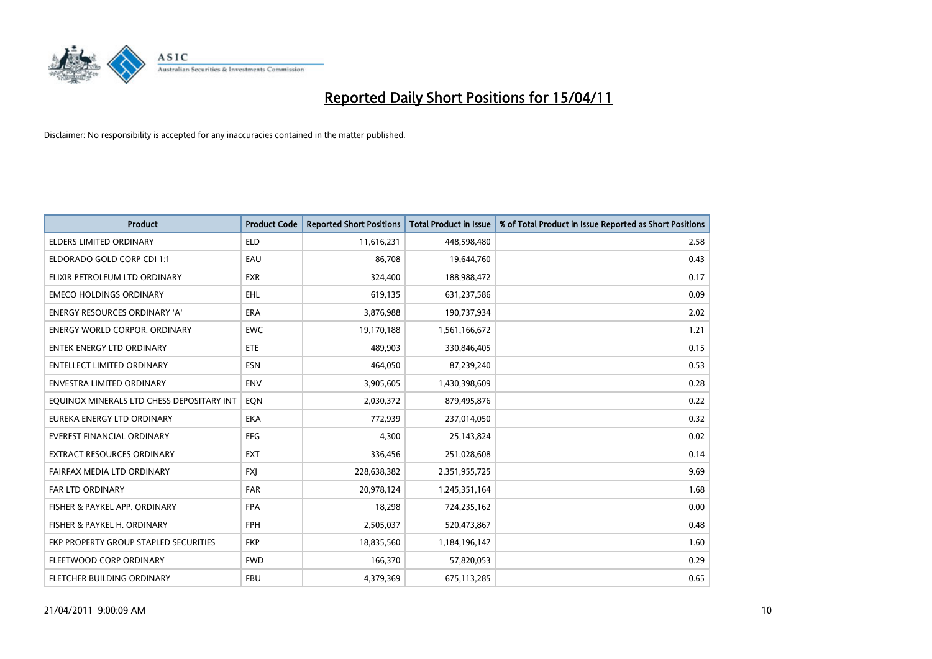

| <b>Product</b>                            | <b>Product Code</b> | <b>Reported Short Positions</b> | <b>Total Product in Issue</b> | % of Total Product in Issue Reported as Short Positions |
|-------------------------------------------|---------------------|---------------------------------|-------------------------------|---------------------------------------------------------|
| <b>ELDERS LIMITED ORDINARY</b>            | <b>ELD</b>          | 11,616,231                      | 448,598,480                   | 2.58                                                    |
| ELDORADO GOLD CORP CDI 1:1                | EAU                 | 86,708                          | 19,644,760                    | 0.43                                                    |
| ELIXIR PETROLEUM LTD ORDINARY             | <b>EXR</b>          | 324,400                         | 188,988,472                   | 0.17                                                    |
| <b>EMECO HOLDINGS ORDINARY</b>            | EHL                 | 619,135                         | 631,237,586                   | 0.09                                                    |
| <b>ENERGY RESOURCES ORDINARY 'A'</b>      | ERA                 | 3,876,988                       | 190,737,934                   | 2.02                                                    |
| <b>ENERGY WORLD CORPOR, ORDINARY</b>      | <b>EWC</b>          | 19,170,188                      | 1,561,166,672                 | 1.21                                                    |
| <b>ENTEK ENERGY LTD ORDINARY</b>          | <b>ETE</b>          | 489.903                         | 330,846,405                   | 0.15                                                    |
| ENTELLECT LIMITED ORDINARY                | <b>ESN</b>          | 464,050                         | 87,239,240                    | 0.53                                                    |
| <b>ENVESTRA LIMITED ORDINARY</b>          | <b>ENV</b>          | 3,905,605                       | 1,430,398,609                 | 0.28                                                    |
| EQUINOX MINERALS LTD CHESS DEPOSITARY INT | EQN                 | 2,030,372                       | 879,495,876                   | 0.22                                                    |
| EUREKA ENERGY LTD ORDINARY                | <b>EKA</b>          | 772,939                         | 237,014,050                   | 0.32                                                    |
| <b>EVEREST FINANCIAL ORDINARY</b>         | <b>EFG</b>          | 4,300                           | 25,143,824                    | 0.02                                                    |
| EXTRACT RESOURCES ORDINARY                | <b>EXT</b>          | 336,456                         | 251,028,608                   | 0.14                                                    |
| FAIRFAX MEDIA LTD ORDINARY                | <b>FXI</b>          | 228,638,382                     | 2,351,955,725                 | 9.69                                                    |
| FAR LTD ORDINARY                          | <b>FAR</b>          | 20,978,124                      | 1,245,351,164                 | 1.68                                                    |
| FISHER & PAYKEL APP. ORDINARY             | <b>FPA</b>          | 18,298                          | 724,235,162                   | 0.00                                                    |
| FISHER & PAYKEL H. ORDINARY               | <b>FPH</b>          | 2,505,037                       | 520,473,867                   | 0.48                                                    |
| FKP PROPERTY GROUP STAPLED SECURITIES     | <b>FKP</b>          | 18,835,560                      | 1,184,196,147                 | 1.60                                                    |
| FLEETWOOD CORP ORDINARY                   | <b>FWD</b>          | 166,370                         | 57,820,053                    | 0.29                                                    |
| FLETCHER BUILDING ORDINARY                | <b>FBU</b>          | 4,379,369                       | 675,113,285                   | 0.65                                                    |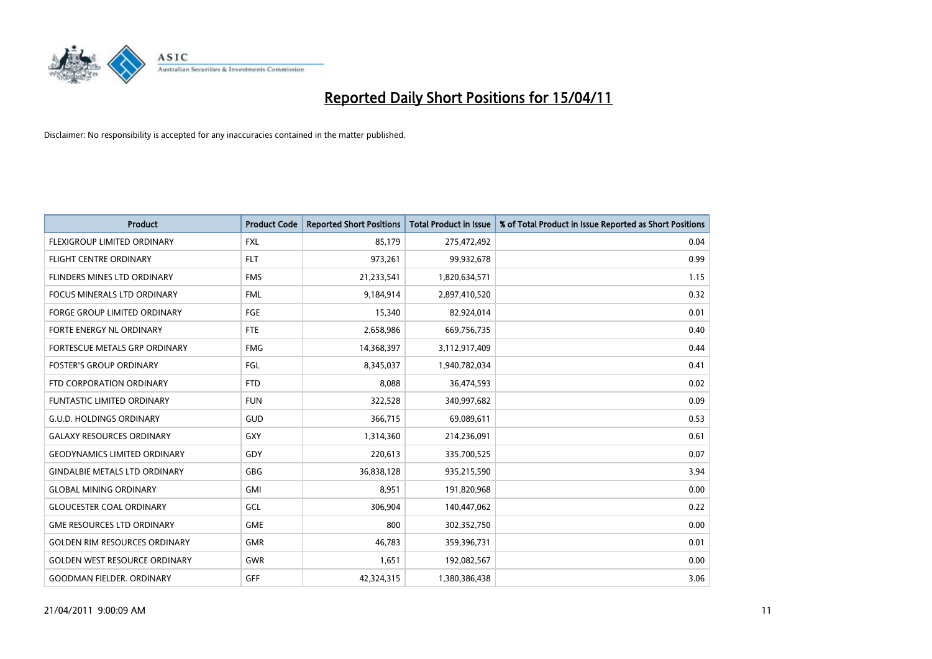

| <b>Product</b>                       | <b>Product Code</b> | <b>Reported Short Positions</b> | <b>Total Product in Issue</b> | % of Total Product in Issue Reported as Short Positions |
|--------------------------------------|---------------------|---------------------------------|-------------------------------|---------------------------------------------------------|
| <b>FLEXIGROUP LIMITED ORDINARY</b>   | <b>FXL</b>          | 85,179                          | 275,472,492                   | 0.04                                                    |
| FLIGHT CENTRE ORDINARY               | <b>FLT</b>          | 973,261                         | 99,932,678                    | 0.99                                                    |
| FLINDERS MINES LTD ORDINARY          | <b>FMS</b>          | 21,233,541                      | 1,820,634,571                 | 1.15                                                    |
| <b>FOCUS MINERALS LTD ORDINARY</b>   | <b>FML</b>          | 9,184,914                       | 2,897,410,520                 | 0.32                                                    |
| <b>FORGE GROUP LIMITED ORDINARY</b>  | <b>FGE</b>          | 15,340                          | 82,924,014                    | 0.01                                                    |
| <b>FORTE ENERGY NL ORDINARY</b>      | <b>FTE</b>          | 2,658,986                       | 669,756,735                   | 0.40                                                    |
| FORTESCUE METALS GRP ORDINARY        | <b>FMG</b>          | 14,368,397                      | 3,112,917,409                 | 0.44                                                    |
| <b>FOSTER'S GROUP ORDINARY</b>       | FGL                 | 8,345,037                       | 1,940,782,034                 | 0.41                                                    |
| FTD CORPORATION ORDINARY             | <b>FTD</b>          | 8,088                           | 36,474,593                    | 0.02                                                    |
| <b>FUNTASTIC LIMITED ORDINARY</b>    | <b>FUN</b>          | 322,528                         | 340,997,682                   | 0.09                                                    |
| <b>G.U.D. HOLDINGS ORDINARY</b>      | <b>GUD</b>          | 366,715                         | 69,089,611                    | 0.53                                                    |
| <b>GALAXY RESOURCES ORDINARY</b>     | <b>GXY</b>          | 1,314,360                       | 214,236,091                   | 0.61                                                    |
| <b>GEODYNAMICS LIMITED ORDINARY</b>  | GDY                 | 220,613                         | 335,700,525                   | 0.07                                                    |
| <b>GINDALBIE METALS LTD ORDINARY</b> | <b>GBG</b>          | 36,838,128                      | 935,215,590                   | 3.94                                                    |
| <b>GLOBAL MINING ORDINARY</b>        | <b>GMI</b>          | 8,951                           | 191,820,968                   | 0.00                                                    |
| <b>GLOUCESTER COAL ORDINARY</b>      | GCL                 | 306,904                         | 140,447,062                   | 0.22                                                    |
| <b>GME RESOURCES LTD ORDINARY</b>    | <b>GME</b>          | 800                             | 302,352,750                   | 0.00                                                    |
| <b>GOLDEN RIM RESOURCES ORDINARY</b> | <b>GMR</b>          | 46,783                          | 359,396,731                   | 0.01                                                    |
| <b>GOLDEN WEST RESOURCE ORDINARY</b> | <b>GWR</b>          | 1,651                           | 192,082,567                   | 0.00                                                    |
| <b>GOODMAN FIELDER, ORDINARY</b>     | <b>GFF</b>          | 42,324,315                      | 1,380,386,438                 | 3.06                                                    |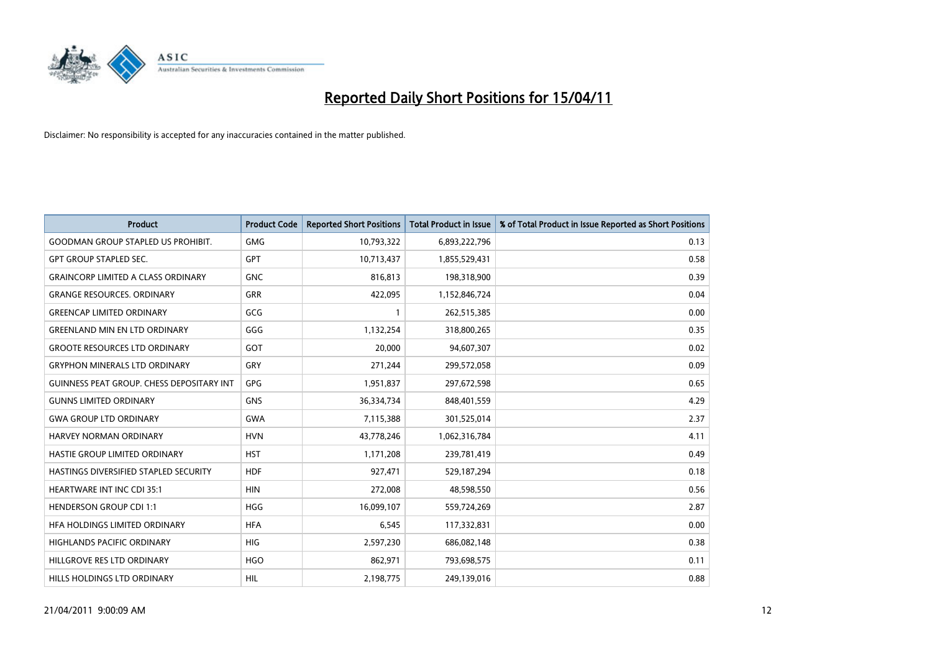

| <b>Product</b>                            | <b>Product Code</b> | <b>Reported Short Positions</b> | Total Product in Issue | % of Total Product in Issue Reported as Short Positions |
|-------------------------------------------|---------------------|---------------------------------|------------------------|---------------------------------------------------------|
| <b>GOODMAN GROUP STAPLED US PROHIBIT.</b> | <b>GMG</b>          | 10,793,322                      | 6,893,222,796          | 0.13                                                    |
| <b>GPT GROUP STAPLED SEC.</b>             | <b>GPT</b>          | 10,713,437                      | 1,855,529,431          | 0.58                                                    |
| <b>GRAINCORP LIMITED A CLASS ORDINARY</b> | <b>GNC</b>          | 816,813                         | 198,318,900            | 0.39                                                    |
| <b>GRANGE RESOURCES, ORDINARY</b>         | <b>GRR</b>          | 422,095                         | 1,152,846,724          | 0.04                                                    |
| <b>GREENCAP LIMITED ORDINARY</b>          | GCG                 |                                 | 262,515,385            | 0.00                                                    |
| <b>GREENLAND MIN EN LTD ORDINARY</b>      | GGG                 | 1,132,254                       | 318,800,265            | 0.35                                                    |
| <b>GROOTE RESOURCES LTD ORDINARY</b>      | GOT                 | 20,000                          | 94,607,307             | 0.02                                                    |
| <b>GRYPHON MINERALS LTD ORDINARY</b>      | GRY                 | 271,244                         | 299,572,058            | 0.09                                                    |
| GUINNESS PEAT GROUP. CHESS DEPOSITARY INT | GPG                 | 1,951,837                       | 297,672,598            | 0.65                                                    |
| <b>GUNNS LIMITED ORDINARY</b>             | <b>GNS</b>          | 36,334,734                      | 848,401,559            | 4.29                                                    |
| <b>GWA GROUP LTD ORDINARY</b>             | <b>GWA</b>          | 7,115,388                       | 301,525,014            | 2.37                                                    |
| HARVEY NORMAN ORDINARY                    | <b>HVN</b>          | 43,778,246                      | 1,062,316,784          | 4.11                                                    |
| HASTIE GROUP LIMITED ORDINARY             | <b>HST</b>          | 1,171,208                       | 239,781,419            | 0.49                                                    |
| HASTINGS DIVERSIFIED STAPLED SECURITY     | <b>HDF</b>          | 927,471                         | 529,187,294            | 0.18                                                    |
| <b>HEARTWARE INT INC CDI 35:1</b>         | <b>HIN</b>          | 272,008                         | 48,598,550             | 0.56                                                    |
| <b>HENDERSON GROUP CDI 1:1</b>            | <b>HGG</b>          | 16,099,107                      | 559,724,269            | 2.87                                                    |
| HFA HOLDINGS LIMITED ORDINARY             | <b>HFA</b>          | 6,545                           | 117,332,831            | 0.00                                                    |
| HIGHLANDS PACIFIC ORDINARY                | <b>HIG</b>          | 2,597,230                       | 686,082,148            | 0.38                                                    |
| HILLGROVE RES LTD ORDINARY                | <b>HGO</b>          | 862,971                         | 793,698,575            | 0.11                                                    |
| HILLS HOLDINGS LTD ORDINARY               | HIL                 | 2,198,775                       | 249,139,016            | 0.88                                                    |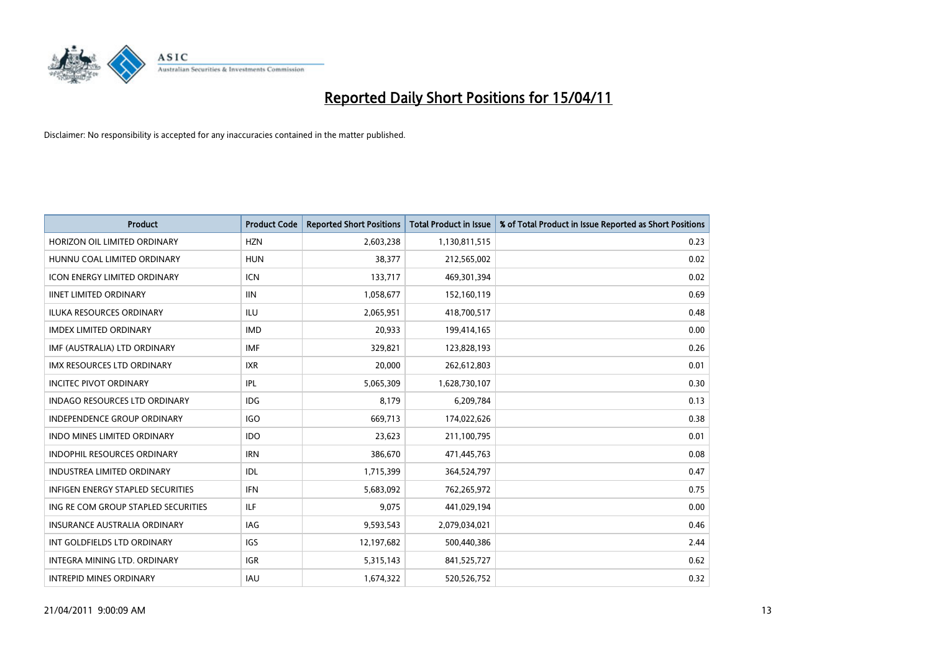

| <b>Product</b>                           | <b>Product Code</b> | <b>Reported Short Positions</b> | Total Product in Issue | % of Total Product in Issue Reported as Short Positions |
|------------------------------------------|---------------------|---------------------------------|------------------------|---------------------------------------------------------|
| HORIZON OIL LIMITED ORDINARY             | <b>HZN</b>          | 2,603,238                       | 1,130,811,515          | 0.23                                                    |
| HUNNU COAL LIMITED ORDINARY              | <b>HUN</b>          | 38,377                          | 212,565,002            | 0.02                                                    |
| <b>ICON ENERGY LIMITED ORDINARY</b>      | <b>ICN</b>          | 133,717                         | 469,301,394            | 0.02                                                    |
| <b>IINET LIMITED ORDINARY</b>            | <b>IIN</b>          | 1,058,677                       | 152,160,119            | 0.69                                                    |
| <b>ILUKA RESOURCES ORDINARY</b>          | ILU                 | 2,065,951                       | 418,700,517            | 0.48                                                    |
| <b>IMDEX LIMITED ORDINARY</b>            | <b>IMD</b>          | 20.933                          | 199,414,165            | 0.00                                                    |
| IMF (AUSTRALIA) LTD ORDINARY             | <b>IMF</b>          | 329,821                         | 123,828,193            | 0.26                                                    |
| IMX RESOURCES LTD ORDINARY               | <b>IXR</b>          | 20,000                          | 262,612,803            | 0.01                                                    |
| <b>INCITEC PIVOT ORDINARY</b>            | <b>IPL</b>          | 5,065,309                       | 1,628,730,107          | 0.30                                                    |
| <b>INDAGO RESOURCES LTD ORDINARY</b>     | <b>IDG</b>          | 8,179                           | 6,209,784              | 0.13                                                    |
| <b>INDEPENDENCE GROUP ORDINARY</b>       | <b>IGO</b>          | 669,713                         | 174,022,626            | 0.38                                                    |
| INDO MINES LIMITED ORDINARY              | <b>IDO</b>          | 23,623                          | 211,100,795            | 0.01                                                    |
| <b>INDOPHIL RESOURCES ORDINARY</b>       | <b>IRN</b>          | 386,670                         | 471,445,763            | 0.08                                                    |
| <b>INDUSTREA LIMITED ORDINARY</b>        | IDL                 | 1,715,399                       | 364,524,797            | 0.47                                                    |
| <b>INFIGEN ENERGY STAPLED SECURITIES</b> | <b>IFN</b>          | 5,683,092                       | 762,265,972            | 0.75                                                    |
| ING RE COM GROUP STAPLED SECURITIES      | <b>ILF</b>          | 9.075                           | 441,029,194            | 0.00                                                    |
| <b>INSURANCE AUSTRALIA ORDINARY</b>      | <b>IAG</b>          | 9,593,543                       | 2,079,034,021          | 0.46                                                    |
| INT GOLDFIELDS LTD ORDINARY              | <b>IGS</b>          | 12,197,682                      | 500,440,386            | 2.44                                                    |
| INTEGRA MINING LTD, ORDINARY             | <b>IGR</b>          | 5,315,143                       | 841,525,727            | 0.62                                                    |
| <b>INTREPID MINES ORDINARY</b>           | <b>IAU</b>          | 1,674,322                       | 520,526,752            | 0.32                                                    |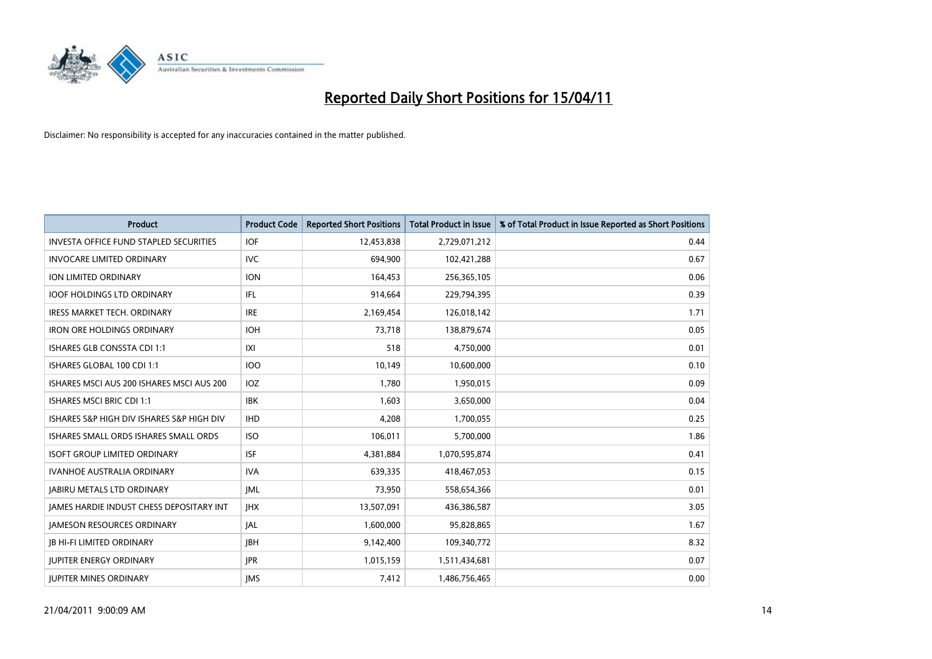

| <b>Product</b>                                  | <b>Product Code</b> | <b>Reported Short Positions</b> | Total Product in Issue | % of Total Product in Issue Reported as Short Positions |
|-------------------------------------------------|---------------------|---------------------------------|------------------------|---------------------------------------------------------|
| <b>INVESTA OFFICE FUND STAPLED SECURITIES</b>   | <b>IOF</b>          | 12,453,838                      | 2,729,071,212          | 0.44                                                    |
| <b>INVOCARE LIMITED ORDINARY</b>                | <b>IVC</b>          | 694,900                         | 102,421,288            | 0.67                                                    |
| <b>ION LIMITED ORDINARY</b>                     | <b>ION</b>          | 164,453                         | 256,365,105            | 0.06                                                    |
| IOOF HOLDINGS LTD ORDINARY                      | IFL.                | 914,664                         | 229,794,395            | 0.39                                                    |
| <b>IRESS MARKET TECH. ORDINARY</b>              | <b>IRE</b>          | 2,169,454                       | 126,018,142            | 1.71                                                    |
| <b>IRON ORE HOLDINGS ORDINARY</b>               | <b>IOH</b>          | 73.718                          | 138,879,674            | 0.05                                                    |
| <b>ISHARES GLB CONSSTA CDI 1:1</b>              | X                   | 518                             | 4,750,000              | 0.01                                                    |
| ISHARES GLOBAL 100 CDI 1:1                      | 100                 | 10,149                          | 10,600,000             | 0.10                                                    |
| ISHARES MSCI AUS 200 ISHARES MSCI AUS 200       | IOZ                 | 1,780                           | 1,950,015              | 0.09                                                    |
| <b>ISHARES MSCI BRIC CDI 1:1</b>                | <b>IBK</b>          | 1,603                           | 3,650,000              | 0.04                                                    |
| ISHARES S&P HIGH DIV ISHARES S&P HIGH DIV       | <b>IHD</b>          | 4,208                           | 1,700,055              | 0.25                                                    |
| ISHARES SMALL ORDS ISHARES SMALL ORDS           | <b>ISO</b>          | 106,011                         | 5,700,000              | 1.86                                                    |
| <b>ISOFT GROUP LIMITED ORDINARY</b>             | <b>ISF</b>          | 4,381,884                       | 1,070,595,874          | 0.41                                                    |
| <b>IVANHOE AUSTRALIA ORDINARY</b>               | <b>IVA</b>          | 639.335                         | 418,467,053            | 0.15                                                    |
| <b>JABIRU METALS LTD ORDINARY</b>               | <b>JML</b>          | 73,950                          | 558,654,366            | 0.01                                                    |
| <b>JAMES HARDIE INDUST CHESS DEPOSITARY INT</b> | <b>IHX</b>          | 13,507,091                      | 436,386,587            | 3.05                                                    |
| <b>JAMESON RESOURCES ORDINARY</b>               | <b>JAL</b>          | 1,600,000                       | 95,828,865             | 1.67                                                    |
| <b>JB HI-FI LIMITED ORDINARY</b>                | <b>IBH</b>          | 9,142,400                       | 109,340,772            | 8.32                                                    |
| <b>JUPITER ENERGY ORDINARY</b>                  | <b>JPR</b>          | 1,015,159                       | 1,511,434,681          | 0.07                                                    |
| <b>JUPITER MINES ORDINARY</b>                   | <b>IMS</b>          | 7,412                           | 1,486,756,465          | 0.00                                                    |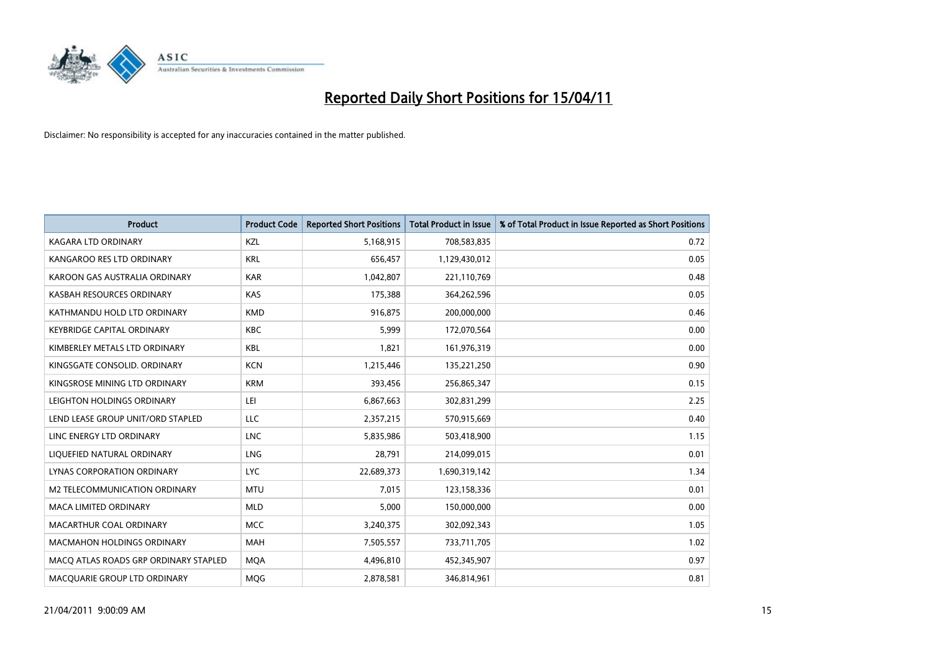

| <b>Product</b>                        | <b>Product Code</b> | <b>Reported Short Positions</b> | Total Product in Issue | % of Total Product in Issue Reported as Short Positions |
|---------------------------------------|---------------------|---------------------------------|------------------------|---------------------------------------------------------|
| <b>KAGARA LTD ORDINARY</b>            | KZL                 | 5,168,915                       | 708,583,835            | 0.72                                                    |
| KANGAROO RES LTD ORDINARY             | <b>KRL</b>          | 656,457                         | 1,129,430,012          | 0.05                                                    |
| KAROON GAS AUSTRALIA ORDINARY         | <b>KAR</b>          | 1,042,807                       | 221,110,769            | 0.48                                                    |
| KASBAH RESOURCES ORDINARY             | <b>KAS</b>          | 175,388                         | 364,262,596            | 0.05                                                    |
| KATHMANDU HOLD LTD ORDINARY           | <b>KMD</b>          | 916,875                         | 200,000,000            | 0.46                                                    |
| <b>KEYBRIDGE CAPITAL ORDINARY</b>     | <b>KBC</b>          | 5,999                           | 172,070,564            | 0.00                                                    |
| KIMBERLEY METALS LTD ORDINARY         | <b>KBL</b>          | 1,821                           | 161,976,319            | 0.00                                                    |
| KINGSGATE CONSOLID. ORDINARY          | <b>KCN</b>          | 1,215,446                       | 135,221,250            | 0.90                                                    |
| KINGSROSE MINING LTD ORDINARY         | <b>KRM</b>          | 393,456                         | 256,865,347            | 0.15                                                    |
| LEIGHTON HOLDINGS ORDINARY            | LEI                 | 6,867,663                       | 302,831,299            | 2.25                                                    |
| LEND LEASE GROUP UNIT/ORD STAPLED     | LLC                 | 2,357,215                       | 570,915,669            | 0.40                                                    |
| LINC ENERGY LTD ORDINARY              | <b>LNC</b>          | 5,835,986                       | 503,418,900            | 1.15                                                    |
| LIQUEFIED NATURAL ORDINARY            | LNG                 | 28.791                          | 214,099,015            | 0.01                                                    |
| LYNAS CORPORATION ORDINARY            | <b>LYC</b>          | 22,689,373                      | 1,690,319,142          | 1.34                                                    |
| M2 TELECOMMUNICATION ORDINARY         | <b>MTU</b>          | 7,015                           | 123,158,336            | 0.01                                                    |
| <b>MACA LIMITED ORDINARY</b>          | <b>MLD</b>          | 5.000                           | 150,000,000            | 0.00                                                    |
| MACARTHUR COAL ORDINARY               | <b>MCC</b>          | 3,240,375                       | 302,092,343            | 1.05                                                    |
| <b>MACMAHON HOLDINGS ORDINARY</b>     | <b>MAH</b>          | 7,505,557                       | 733,711,705            | 1.02                                                    |
| MACO ATLAS ROADS GRP ORDINARY STAPLED | <b>MOA</b>          | 4,496,810                       | 452,345,907            | 0.97                                                    |
| MACQUARIE GROUP LTD ORDINARY          | <b>MOG</b>          | 2,878,581                       | 346,814,961            | 0.81                                                    |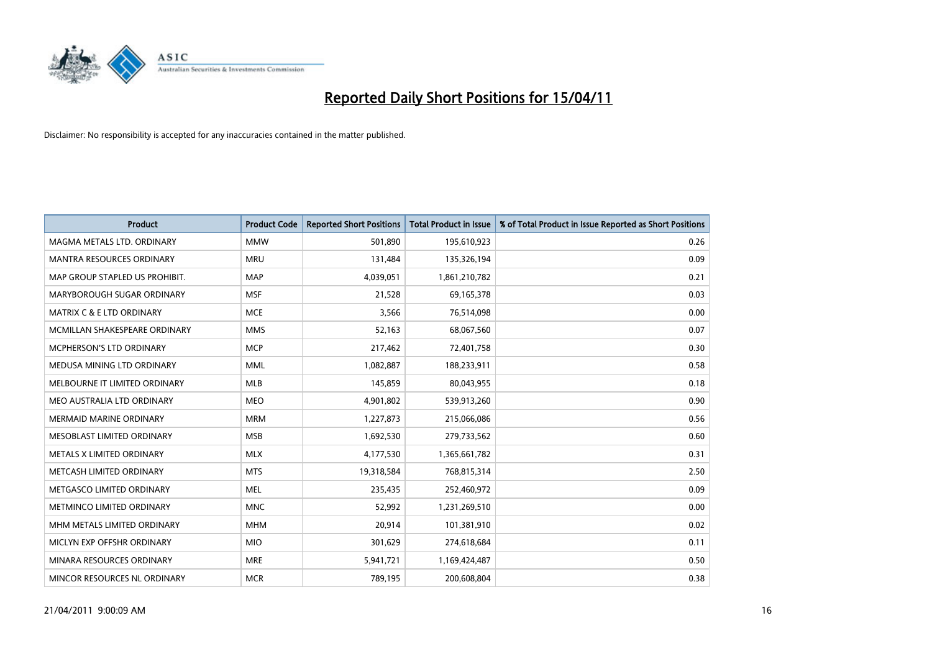

| <b>Product</b>                       | <b>Product Code</b> | <b>Reported Short Positions</b> | <b>Total Product in Issue</b> | % of Total Product in Issue Reported as Short Positions |
|--------------------------------------|---------------------|---------------------------------|-------------------------------|---------------------------------------------------------|
| MAGMA METALS LTD. ORDINARY           | <b>MMW</b>          | 501,890                         | 195,610,923                   | 0.26                                                    |
| MANTRA RESOURCES ORDINARY            | <b>MRU</b>          | 131,484                         | 135,326,194                   | 0.09                                                    |
| MAP GROUP STAPLED US PROHIBIT.       | <b>MAP</b>          | 4,039,051                       | 1,861,210,782                 | 0.21                                                    |
| MARYBOROUGH SUGAR ORDINARY           | <b>MSF</b>          | 21,528                          | 69,165,378                    | 0.03                                                    |
| <b>MATRIX C &amp; E LTD ORDINARY</b> | <b>MCE</b>          | 3,566                           | 76,514,098                    | 0.00                                                    |
| MCMILLAN SHAKESPEARE ORDINARY        | <b>MMS</b>          | 52,163                          | 68,067,560                    | 0.07                                                    |
| <b>MCPHERSON'S LTD ORDINARY</b>      | <b>MCP</b>          | 217,462                         | 72,401,758                    | 0.30                                                    |
| MEDUSA MINING LTD ORDINARY           | <b>MML</b>          | 1,082,887                       | 188,233,911                   | 0.58                                                    |
| MELBOURNE IT LIMITED ORDINARY        | <b>MLB</b>          | 145,859                         | 80,043,955                    | 0.18                                                    |
| MEO AUSTRALIA LTD ORDINARY           | <b>MEO</b>          | 4,901,802                       | 539,913,260                   | 0.90                                                    |
| MERMAID MARINE ORDINARY              | <b>MRM</b>          | 1,227,873                       | 215,066,086                   | 0.56                                                    |
| MESOBLAST LIMITED ORDINARY           | <b>MSB</b>          | 1,692,530                       | 279,733,562                   | 0.60                                                    |
| METALS X LIMITED ORDINARY            | <b>MLX</b>          | 4,177,530                       | 1,365,661,782                 | 0.31                                                    |
| METCASH LIMITED ORDINARY             | <b>MTS</b>          | 19,318,584                      | 768,815,314                   | 2.50                                                    |
| METGASCO LIMITED ORDINARY            | <b>MEL</b>          | 235,435                         | 252,460,972                   | 0.09                                                    |
| METMINCO LIMITED ORDINARY            | <b>MNC</b>          | 52,992                          | 1,231,269,510                 | 0.00                                                    |
| MHM METALS LIMITED ORDINARY          | <b>MHM</b>          | 20,914                          | 101,381,910                   | 0.02                                                    |
| MICLYN EXP OFFSHR ORDINARY           | <b>MIO</b>          | 301,629                         | 274,618,684                   | 0.11                                                    |
| MINARA RESOURCES ORDINARY            | <b>MRE</b>          | 5,941,721                       | 1,169,424,487                 | 0.50                                                    |
| MINCOR RESOURCES NL ORDINARY         | <b>MCR</b>          | 789,195                         | 200,608,804                   | 0.38                                                    |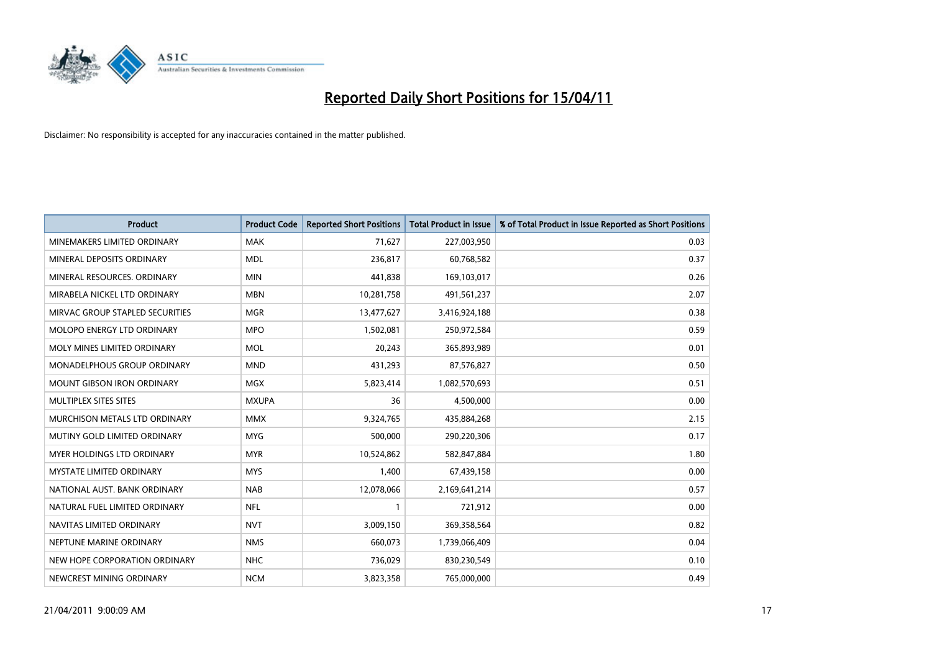

| <b>Product</b>                    | <b>Product Code</b> | <b>Reported Short Positions</b> | <b>Total Product in Issue</b> | % of Total Product in Issue Reported as Short Positions |
|-----------------------------------|---------------------|---------------------------------|-------------------------------|---------------------------------------------------------|
| MINEMAKERS LIMITED ORDINARY       | <b>MAK</b>          | 71,627                          | 227,003,950                   | 0.03                                                    |
| MINERAL DEPOSITS ORDINARY         | <b>MDL</b>          | 236,817                         | 60,768,582                    | 0.37                                                    |
| MINERAL RESOURCES. ORDINARY       | <b>MIN</b>          | 441,838                         | 169,103,017                   | 0.26                                                    |
| MIRABELA NICKEL LTD ORDINARY      | <b>MBN</b>          | 10,281,758                      | 491,561,237                   | 2.07                                                    |
| MIRVAC GROUP STAPLED SECURITIES   | <b>MGR</b>          | 13,477,627                      | 3,416,924,188                 | 0.38                                                    |
| MOLOPO ENERGY LTD ORDINARY        | <b>MPO</b>          | 1,502,081                       | 250,972,584                   | 0.59                                                    |
| MOLY MINES LIMITED ORDINARY       | MOL                 | 20,243                          | 365,893,989                   | 0.01                                                    |
| MONADELPHOUS GROUP ORDINARY       | <b>MND</b>          | 431,293                         | 87,576,827                    | 0.50                                                    |
| <b>MOUNT GIBSON IRON ORDINARY</b> | <b>MGX</b>          | 5,823,414                       | 1,082,570,693                 | 0.51                                                    |
| MULTIPLEX SITES SITES             | <b>MXUPA</b>        | 36                              | 4,500,000                     | 0.00                                                    |
| MURCHISON METALS LTD ORDINARY     | <b>MMX</b>          | 9,324,765                       | 435,884,268                   | 2.15                                                    |
| MUTINY GOLD LIMITED ORDINARY      | <b>MYG</b>          | 500,000                         | 290,220,306                   | 0.17                                                    |
| <b>MYER HOLDINGS LTD ORDINARY</b> | <b>MYR</b>          | 10,524,862                      | 582,847,884                   | 1.80                                                    |
| <b>MYSTATE LIMITED ORDINARY</b>   | <b>MYS</b>          | 1,400                           | 67,439,158                    | 0.00                                                    |
| NATIONAL AUST, BANK ORDINARY      | <b>NAB</b>          | 12,078,066                      | 2,169,641,214                 | 0.57                                                    |
| NATURAL FUEL LIMITED ORDINARY     | <b>NFL</b>          |                                 | 721,912                       | 0.00                                                    |
| NAVITAS LIMITED ORDINARY          | <b>NVT</b>          | 3,009,150                       | 369,358,564                   | 0.82                                                    |
| NEPTUNE MARINE ORDINARY           | <b>NMS</b>          | 660,073                         | 1,739,066,409                 | 0.04                                                    |
| NEW HOPE CORPORATION ORDINARY     | <b>NHC</b>          | 736,029                         | 830,230,549                   | 0.10                                                    |
| NEWCREST MINING ORDINARY          | <b>NCM</b>          | 3,823,358                       | 765,000,000                   | 0.49                                                    |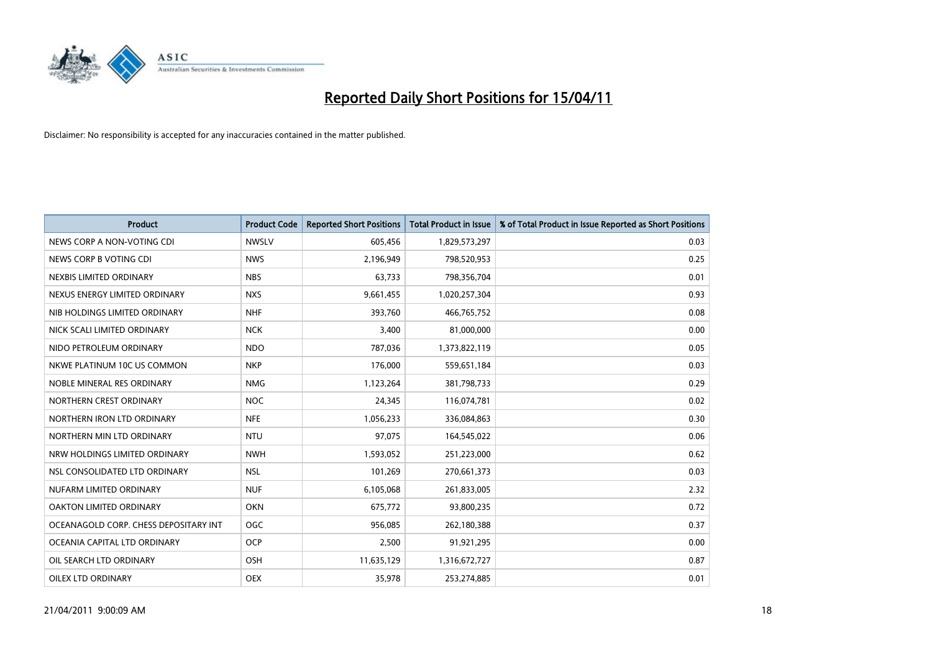

| <b>Product</b>                        | <b>Product Code</b> | <b>Reported Short Positions</b> | Total Product in Issue | % of Total Product in Issue Reported as Short Positions |
|---------------------------------------|---------------------|---------------------------------|------------------------|---------------------------------------------------------|
| NEWS CORP A NON-VOTING CDI            | <b>NWSLV</b>        | 605,456                         | 1,829,573,297          | 0.03                                                    |
| NEWS CORP B VOTING CDI                | <b>NWS</b>          | 2,196,949                       | 798,520,953            | 0.25                                                    |
| NEXBIS LIMITED ORDINARY               | <b>NBS</b>          | 63.733                          | 798,356,704            | 0.01                                                    |
| NEXUS ENERGY LIMITED ORDINARY         | <b>NXS</b>          | 9,661,455                       | 1,020,257,304          | 0.93                                                    |
| NIB HOLDINGS LIMITED ORDINARY         | <b>NHF</b>          | 393,760                         | 466,765,752            | 0.08                                                    |
| NICK SCALI LIMITED ORDINARY           | <b>NCK</b>          | 3,400                           | 81,000,000             | 0.00                                                    |
| NIDO PETROLEUM ORDINARY               | <b>NDO</b>          | 787,036                         | 1,373,822,119          | 0.05                                                    |
| NKWE PLATINUM 10C US COMMON           | <b>NKP</b>          | 176,000                         | 559,651,184            | 0.03                                                    |
| NOBLE MINERAL RES ORDINARY            | <b>NMG</b>          | 1,123,264                       | 381,798,733            | 0.29                                                    |
| NORTHERN CREST ORDINARY               | <b>NOC</b>          | 24,345                          | 116,074,781            | 0.02                                                    |
| NORTHERN IRON LTD ORDINARY            | <b>NFE</b>          | 1,056,233                       | 336,084,863            | 0.30                                                    |
| NORTHERN MIN LTD ORDINARY             | <b>NTU</b>          | 97,075                          | 164,545,022            | 0.06                                                    |
| NRW HOLDINGS LIMITED ORDINARY         | <b>NWH</b>          | 1,593,052                       | 251,223,000            | 0.62                                                    |
| NSL CONSOLIDATED LTD ORDINARY         | <b>NSL</b>          | 101,269                         | 270,661,373            | 0.03                                                    |
| NUFARM LIMITED ORDINARY               | <b>NUF</b>          | 6,105,068                       | 261,833,005            | 2.32                                                    |
| OAKTON LIMITED ORDINARY               | <b>OKN</b>          | 675,772                         | 93,800,235             | 0.72                                                    |
| OCEANAGOLD CORP. CHESS DEPOSITARY INT | OGC                 | 956,085                         | 262,180,388            | 0.37                                                    |
| OCEANIA CAPITAL LTD ORDINARY          | <b>OCP</b>          | 2,500                           | 91,921,295             | 0.00                                                    |
| OIL SEARCH LTD ORDINARY               | OSH                 | 11,635,129                      | 1,316,672,727          | 0.87                                                    |
| OILEX LTD ORDINARY                    | OEX                 | 35,978                          | 253,274,885            | 0.01                                                    |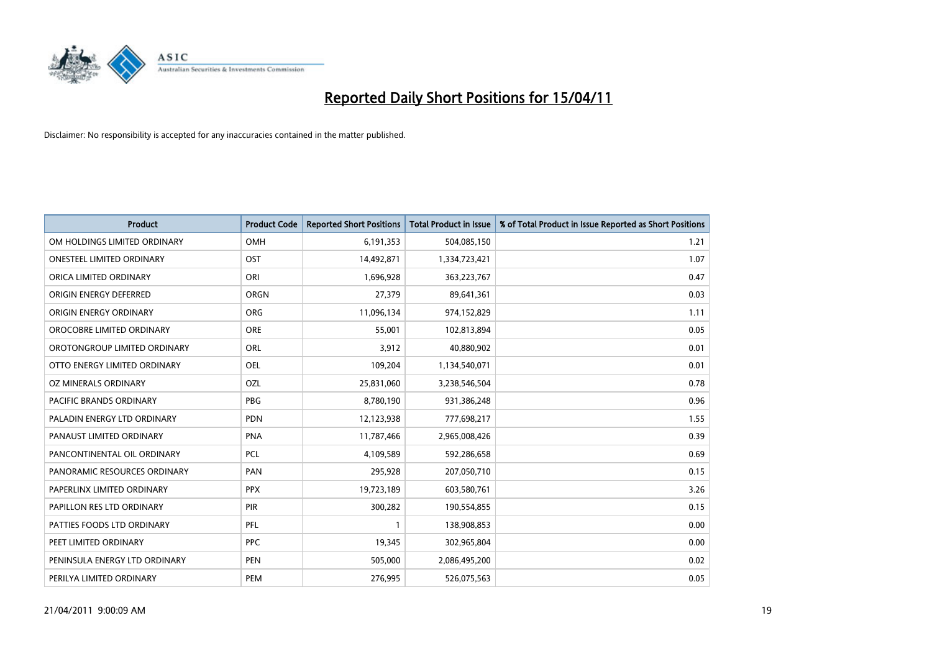

| <b>Product</b>                 | <b>Product Code</b> | <b>Reported Short Positions</b> | Total Product in Issue | % of Total Product in Issue Reported as Short Positions |
|--------------------------------|---------------------|---------------------------------|------------------------|---------------------------------------------------------|
| OM HOLDINGS LIMITED ORDINARY   | OMH                 | 6,191,353                       | 504,085,150            | 1.21                                                    |
| ONESTEEL LIMITED ORDINARY      | OST                 | 14,492,871                      | 1,334,723,421          | 1.07                                                    |
| ORICA LIMITED ORDINARY         | ORI                 | 1,696,928                       | 363,223,767            | 0.47                                                    |
| ORIGIN ENERGY DEFERRED         | <b>ORGN</b>         | 27,379                          | 89,641,361             | 0.03                                                    |
| ORIGIN ENERGY ORDINARY         | <b>ORG</b>          | 11,096,134                      | 974,152,829            | 1.11                                                    |
| OROCOBRE LIMITED ORDINARY      | <b>ORE</b>          | 55,001                          | 102,813,894            | 0.05                                                    |
| OROTONGROUP LIMITED ORDINARY   | ORL                 | 3,912                           | 40,880,902             | 0.01                                                    |
| OTTO ENERGY LIMITED ORDINARY   | <b>OEL</b>          | 109,204                         | 1,134,540,071          | 0.01                                                    |
| OZ MINERALS ORDINARY           | OZL                 | 25,831,060                      | 3,238,546,504          | 0.78                                                    |
| <b>PACIFIC BRANDS ORDINARY</b> | <b>PBG</b>          | 8,780,190                       | 931,386,248            | 0.96                                                    |
| PALADIN ENERGY LTD ORDINARY    | <b>PDN</b>          | 12,123,938                      | 777,698,217            | 1.55                                                    |
| PANAUST LIMITED ORDINARY       | <b>PNA</b>          | 11,787,466                      | 2,965,008,426          | 0.39                                                    |
| PANCONTINENTAL OIL ORDINARY    | PCL                 | 4,109,589                       | 592,286,658            | 0.69                                                    |
| PANORAMIC RESOURCES ORDINARY   | PAN                 | 295,928                         | 207,050,710            | 0.15                                                    |
| PAPERLINX LIMITED ORDINARY     | <b>PPX</b>          | 19,723,189                      | 603,580,761            | 3.26                                                    |
| PAPILLON RES LTD ORDINARY      | <b>PIR</b>          | 300,282                         | 190,554,855            | 0.15                                                    |
| PATTIES FOODS LTD ORDINARY     | PFL                 |                                 | 138,908,853            | 0.00                                                    |
| PEET LIMITED ORDINARY          | <b>PPC</b>          | 19,345                          | 302,965,804            | 0.00                                                    |
| PENINSULA ENERGY LTD ORDINARY  | <b>PEN</b>          | 505,000                         | 2,086,495,200          | 0.02                                                    |
| PERILYA LIMITED ORDINARY       | PEM                 | 276.995                         | 526,075,563            | 0.05                                                    |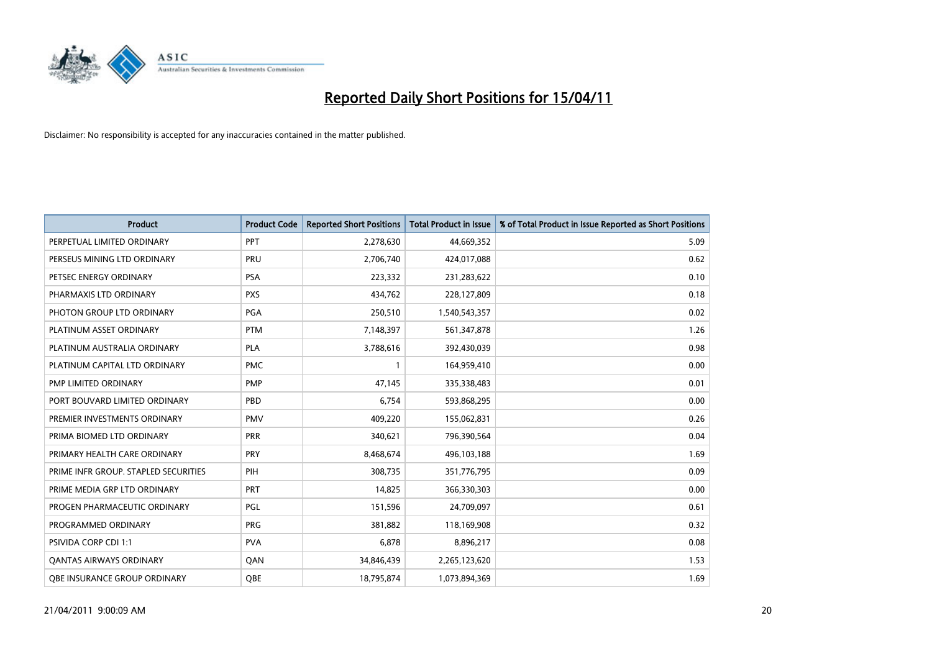

| <b>Product</b>                       | <b>Product Code</b> | <b>Reported Short Positions</b> | <b>Total Product in Issue</b> | % of Total Product in Issue Reported as Short Positions |
|--------------------------------------|---------------------|---------------------------------|-------------------------------|---------------------------------------------------------|
| PERPETUAL LIMITED ORDINARY           | PPT                 | 2,278,630                       | 44,669,352                    | 5.09                                                    |
| PERSEUS MINING LTD ORDINARY          | PRU                 | 2,706,740                       | 424,017,088                   | 0.62                                                    |
| PETSEC ENERGY ORDINARY               | <b>PSA</b>          | 223,332                         | 231,283,622                   | 0.10                                                    |
| PHARMAXIS LTD ORDINARY               | <b>PXS</b>          | 434,762                         | 228,127,809                   | 0.18                                                    |
| PHOTON GROUP LTD ORDINARY            | <b>PGA</b>          | 250,510                         | 1,540,543,357                 | 0.02                                                    |
| PLATINUM ASSET ORDINARY              | <b>PTM</b>          | 7,148,397                       | 561,347,878                   | 1.26                                                    |
| PLATINUM AUSTRALIA ORDINARY          | <b>PLA</b>          | 3,788,616                       | 392,430,039                   | 0.98                                                    |
| PLATINUM CAPITAL LTD ORDINARY        | <b>PMC</b>          |                                 | 164,959,410                   | 0.00                                                    |
| <b>PMP LIMITED ORDINARY</b>          | <b>PMP</b>          | 47,145                          | 335,338,483                   | 0.01                                                    |
| PORT BOUVARD LIMITED ORDINARY        | PBD                 | 6,754                           | 593,868,295                   | 0.00                                                    |
| PREMIER INVESTMENTS ORDINARY         | <b>PMV</b>          | 409,220                         | 155,062,831                   | 0.26                                                    |
| PRIMA BIOMED LTD ORDINARY            | <b>PRR</b>          | 340,621                         | 796,390,564                   | 0.04                                                    |
| PRIMARY HEALTH CARE ORDINARY         | <b>PRY</b>          | 8,468,674                       | 496,103,188                   | 1.69                                                    |
| PRIME INFR GROUP. STAPLED SECURITIES | PIH                 | 308,735                         | 351,776,795                   | 0.09                                                    |
| PRIME MEDIA GRP LTD ORDINARY         | <b>PRT</b>          | 14.825                          | 366,330,303                   | 0.00                                                    |
| PROGEN PHARMACEUTIC ORDINARY         | <b>PGL</b>          | 151,596                         | 24,709,097                    | 0.61                                                    |
| PROGRAMMED ORDINARY                  | <b>PRG</b>          | 381,882                         | 118,169,908                   | 0.32                                                    |
| <b>PSIVIDA CORP CDI 1:1</b>          | <b>PVA</b>          | 6,878                           | 8,896,217                     | 0.08                                                    |
| <b>QANTAS AIRWAYS ORDINARY</b>       | QAN                 | 34,846,439                      | 2,265,123,620                 | 1.53                                                    |
| OBE INSURANCE GROUP ORDINARY         | <b>OBE</b>          | 18,795,874                      | 1,073,894,369                 | 1.69                                                    |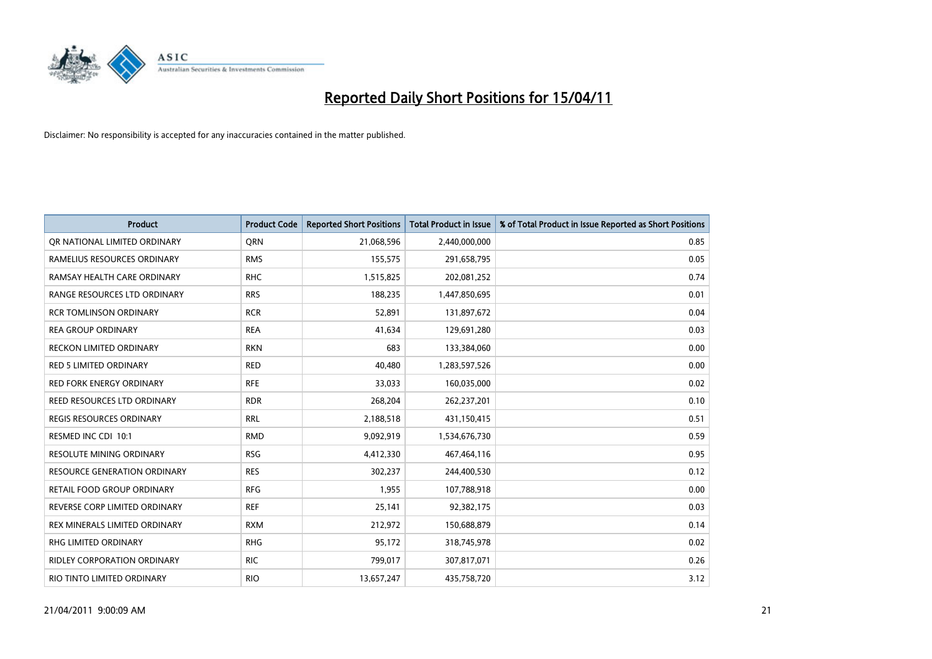

| <b>Product</b>                      | <b>Product Code</b> | <b>Reported Short Positions</b> | <b>Total Product in Issue</b> | % of Total Product in Issue Reported as Short Positions |
|-------------------------------------|---------------------|---------------------------------|-------------------------------|---------------------------------------------------------|
| OR NATIONAL LIMITED ORDINARY        | <b>ORN</b>          | 21,068,596                      | 2,440,000,000                 | 0.85                                                    |
| RAMELIUS RESOURCES ORDINARY         | <b>RMS</b>          | 155,575                         | 291,658,795                   | 0.05                                                    |
| RAMSAY HEALTH CARE ORDINARY         | <b>RHC</b>          | 1,515,825                       | 202,081,252                   | 0.74                                                    |
| RANGE RESOURCES LTD ORDINARY        | <b>RRS</b>          | 188,235                         | 1,447,850,695                 | 0.01                                                    |
| <b>RCR TOMLINSON ORDINARY</b>       | <b>RCR</b>          | 52,891                          | 131,897,672                   | 0.04                                                    |
| <b>REA GROUP ORDINARY</b>           | <b>REA</b>          | 41,634                          | 129,691,280                   | 0.03                                                    |
| <b>RECKON LIMITED ORDINARY</b>      | <b>RKN</b>          | 683                             | 133,384,060                   | 0.00                                                    |
| <b>RED 5 LIMITED ORDINARY</b>       | <b>RED</b>          | 40,480                          | 1,283,597,526                 | 0.00                                                    |
| RED FORK ENERGY ORDINARY            | <b>RFE</b>          | 33,033                          | 160,035,000                   | 0.02                                                    |
| <b>REED RESOURCES LTD ORDINARY</b>  | <b>RDR</b>          | 268,204                         | 262,237,201                   | 0.10                                                    |
| <b>REGIS RESOURCES ORDINARY</b>     | <b>RRL</b>          | 2,188,518                       | 431,150,415                   | 0.51                                                    |
| RESMED INC CDI 10:1                 | <b>RMD</b>          | 9,092,919                       | 1,534,676,730                 | 0.59                                                    |
| <b>RESOLUTE MINING ORDINARY</b>     | <b>RSG</b>          | 4,412,330                       | 467,464,116                   | 0.95                                                    |
| <b>RESOURCE GENERATION ORDINARY</b> | <b>RES</b>          | 302,237                         | 244,400,530                   | 0.12                                                    |
| <b>RETAIL FOOD GROUP ORDINARY</b>   | <b>RFG</b>          | 1,955                           | 107,788,918                   | 0.00                                                    |
| REVERSE CORP LIMITED ORDINARY       | <b>REF</b>          | 25,141                          | 92,382,175                    | 0.03                                                    |
| REX MINERALS LIMITED ORDINARY       | <b>RXM</b>          | 212,972                         | 150,688,879                   | 0.14                                                    |
| RHG LIMITED ORDINARY                | <b>RHG</b>          | 95,172                          | 318,745,978                   | 0.02                                                    |
| <b>RIDLEY CORPORATION ORDINARY</b>  | <b>RIC</b>          | 799,017                         | 307,817,071                   | 0.26                                                    |
| RIO TINTO LIMITED ORDINARY          | <b>RIO</b>          | 13,657,247                      | 435,758,720                   | 3.12                                                    |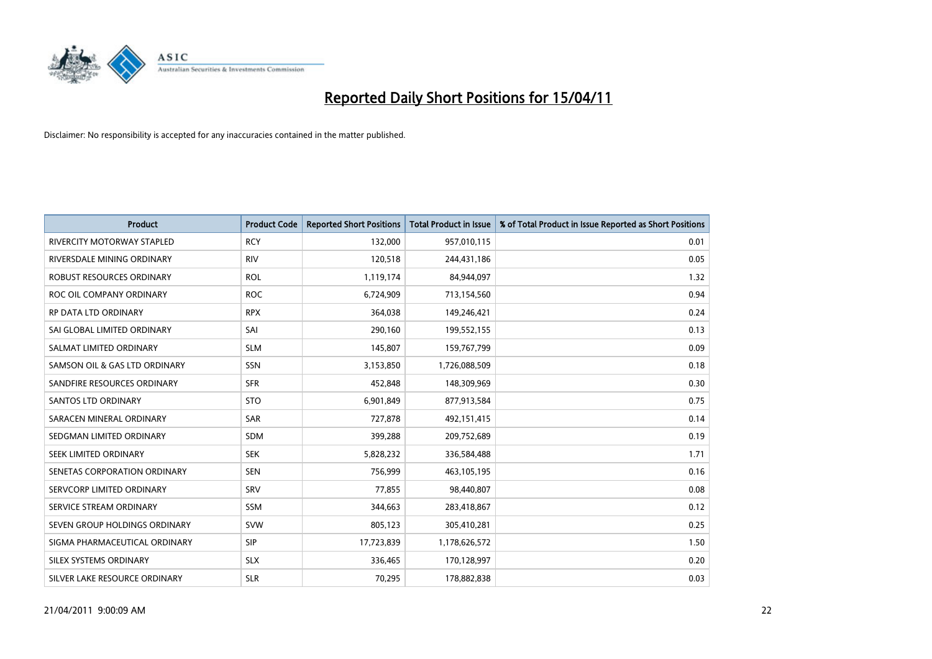

| <b>Product</b>                    | <b>Product Code</b> | <b>Reported Short Positions</b> | Total Product in Issue | % of Total Product in Issue Reported as Short Positions |
|-----------------------------------|---------------------|---------------------------------|------------------------|---------------------------------------------------------|
| <b>RIVERCITY MOTORWAY STAPLED</b> | <b>RCY</b>          | 132,000                         | 957,010,115            | 0.01                                                    |
| RIVERSDALE MINING ORDINARY        | <b>RIV</b>          | 120,518                         | 244,431,186            | 0.05                                                    |
| ROBUST RESOURCES ORDINARY         | <b>ROL</b>          | 1,119,174                       | 84,944,097             | 1.32                                                    |
| ROC OIL COMPANY ORDINARY          | <b>ROC</b>          | 6,724,909                       | 713,154,560            | 0.94                                                    |
| RP DATA LTD ORDINARY              | <b>RPX</b>          | 364,038                         | 149,246,421            | 0.24                                                    |
| SAI GLOBAL LIMITED ORDINARY       | SAI                 | 290,160                         | 199,552,155            | 0.13                                                    |
| SALMAT LIMITED ORDINARY           | <b>SLM</b>          | 145,807                         | 159,767,799            | 0.09                                                    |
| SAMSON OIL & GAS LTD ORDINARY     | <b>SSN</b>          | 3,153,850                       | 1,726,088,509          | 0.18                                                    |
| SANDFIRE RESOURCES ORDINARY       | <b>SFR</b>          | 452,848                         | 148,309,969            | 0.30                                                    |
| <b>SANTOS LTD ORDINARY</b>        | <b>STO</b>          | 6,901,849                       | 877,913,584            | 0.75                                                    |
| SARACEN MINERAL ORDINARY          | <b>SAR</b>          | 727,878                         | 492,151,415            | 0.14                                                    |
| SEDGMAN LIMITED ORDINARY          | <b>SDM</b>          | 399,288                         | 209,752,689            | 0.19                                                    |
| SEEK LIMITED ORDINARY             | <b>SEK</b>          | 5,828,232                       | 336,584,488            | 1.71                                                    |
| SENETAS CORPORATION ORDINARY      | <b>SEN</b>          | 756,999                         | 463,105,195            | 0.16                                                    |
| SERVCORP LIMITED ORDINARY         | SRV                 | 77,855                          | 98,440,807             | 0.08                                                    |
| SERVICE STREAM ORDINARY           | <b>SSM</b>          | 344,663                         | 283,418,867            | 0.12                                                    |
| SEVEN GROUP HOLDINGS ORDINARY     | <b>SVW</b>          | 805,123                         | 305,410,281            | 0.25                                                    |
| SIGMA PHARMACEUTICAL ORDINARY     | <b>SIP</b>          | 17,723,839                      | 1,178,626,572          | 1.50                                                    |
| SILEX SYSTEMS ORDINARY            | <b>SLX</b>          | 336,465                         | 170,128,997            | 0.20                                                    |
| SILVER LAKE RESOURCE ORDINARY     | <b>SLR</b>          | 70,295                          | 178,882,838            | 0.03                                                    |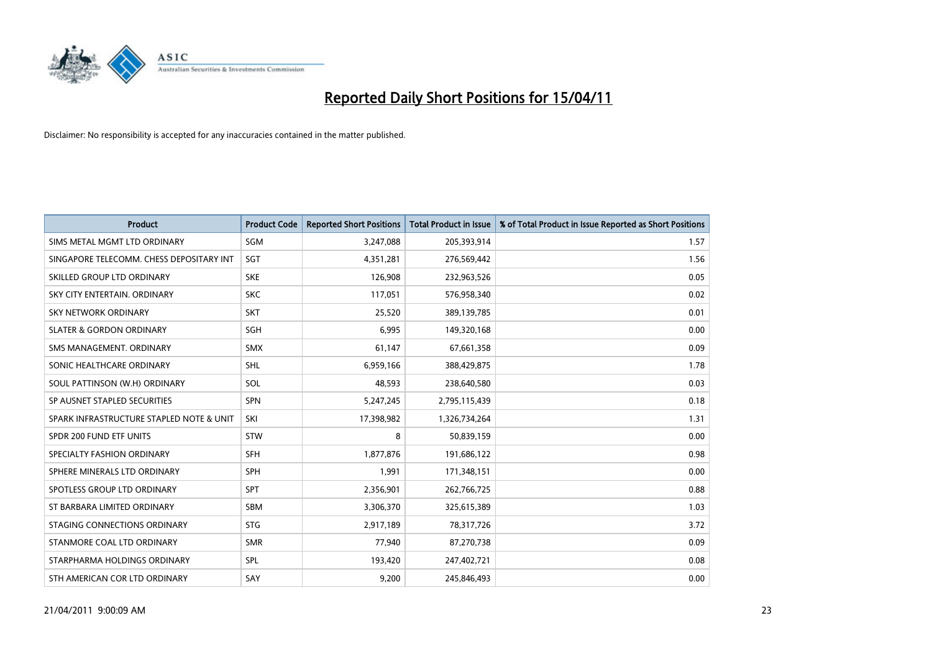

| <b>Product</b>                           | <b>Product Code</b> | <b>Reported Short Positions</b> | <b>Total Product in Issue</b> | % of Total Product in Issue Reported as Short Positions |
|------------------------------------------|---------------------|---------------------------------|-------------------------------|---------------------------------------------------------|
| SIMS METAL MGMT LTD ORDINARY             | <b>SGM</b>          | 3,247,088                       | 205,393,914                   | 1.57                                                    |
| SINGAPORE TELECOMM. CHESS DEPOSITARY INT | <b>SGT</b>          | 4,351,281                       | 276,569,442                   | 1.56                                                    |
| SKILLED GROUP LTD ORDINARY               | <b>SKE</b>          | 126,908                         | 232,963,526                   | 0.05                                                    |
| SKY CITY ENTERTAIN. ORDINARY             | <b>SKC</b>          | 117,051                         | 576,958,340                   | 0.02                                                    |
| <b>SKY NETWORK ORDINARY</b>              | <b>SKT</b>          | 25,520                          | 389,139,785                   | 0.01                                                    |
| <b>SLATER &amp; GORDON ORDINARY</b>      | <b>SGH</b>          | 6,995                           | 149,320,168                   | 0.00                                                    |
| SMS MANAGEMENT, ORDINARY                 | <b>SMX</b>          | 61,147                          | 67,661,358                    | 0.09                                                    |
| SONIC HEALTHCARE ORDINARY                | <b>SHL</b>          | 6,959,166                       | 388,429,875                   | 1.78                                                    |
| SOUL PATTINSON (W.H) ORDINARY            | SOL                 | 48,593                          | 238,640,580                   | 0.03                                                    |
| SP AUSNET STAPLED SECURITIES             | <b>SPN</b>          | 5,247,245                       | 2,795,115,439                 | 0.18                                                    |
| SPARK INFRASTRUCTURE STAPLED NOTE & UNIT | SKI                 | 17,398,982                      | 1,326,734,264                 | 1.31                                                    |
| SPDR 200 FUND ETF UNITS                  | <b>STW</b>          | 8                               | 50,839,159                    | 0.00                                                    |
| SPECIALTY FASHION ORDINARY               | <b>SFH</b>          | 1,877,876                       | 191,686,122                   | 0.98                                                    |
| SPHERE MINERALS LTD ORDINARY             | SPH                 | 1,991                           | 171,348,151                   | 0.00                                                    |
| SPOTLESS GROUP LTD ORDINARY              | <b>SPT</b>          | 2,356,901                       | 262,766,725                   | 0.88                                                    |
| ST BARBARA LIMITED ORDINARY              | SBM                 | 3,306,370                       | 325,615,389                   | 1.03                                                    |
| STAGING CONNECTIONS ORDINARY             | <b>STG</b>          | 2,917,189                       | 78,317,726                    | 3.72                                                    |
| STANMORE COAL LTD ORDINARY               | <b>SMR</b>          | 77,940                          | 87,270,738                    | 0.09                                                    |
| STARPHARMA HOLDINGS ORDINARY             | <b>SPL</b>          | 193,420                         | 247,402,721                   | 0.08                                                    |
| STH AMERICAN COR LTD ORDINARY            | SAY                 | 9,200                           | 245,846,493                   | 0.00                                                    |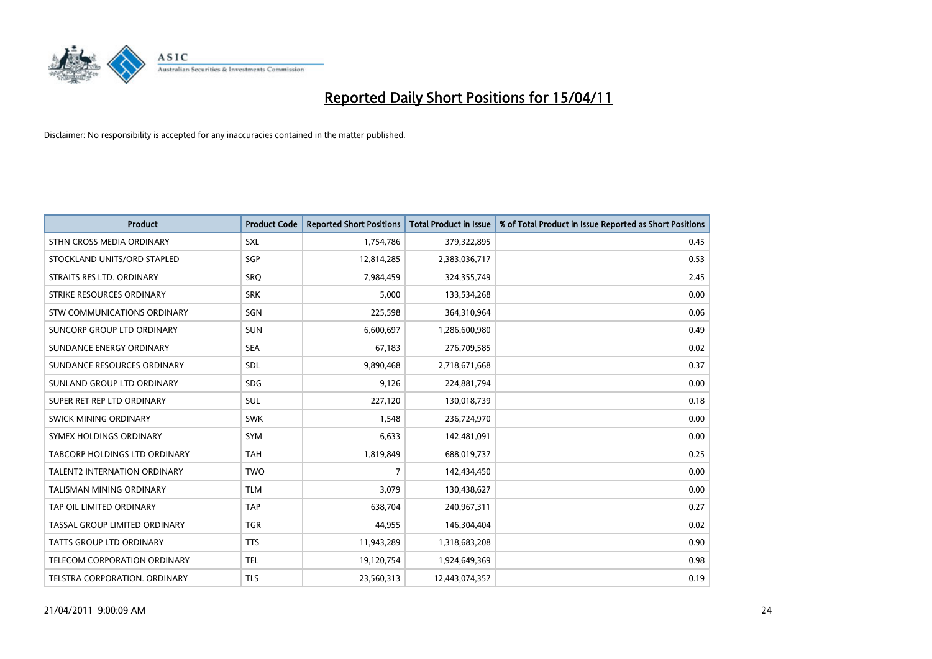

| <b>Product</b>                      | <b>Product Code</b> | <b>Reported Short Positions</b> | <b>Total Product in Issue</b> | % of Total Product in Issue Reported as Short Positions |
|-------------------------------------|---------------------|---------------------------------|-------------------------------|---------------------------------------------------------|
| STHN CROSS MEDIA ORDINARY           | <b>SXL</b>          | 1,754,786                       | 379,322,895                   | 0.45                                                    |
| STOCKLAND UNITS/ORD STAPLED         | <b>SGP</b>          | 12,814,285                      | 2,383,036,717                 | 0.53                                                    |
| STRAITS RES LTD. ORDINARY           | <b>SRO</b>          | 7,984,459                       | 324,355,749                   | 2.45                                                    |
| STRIKE RESOURCES ORDINARY           | <b>SRK</b>          | 5,000                           | 133,534,268                   | 0.00                                                    |
| STW COMMUNICATIONS ORDINARY         | SGN                 | 225,598                         | 364,310,964                   | 0.06                                                    |
| SUNCORP GROUP LTD ORDINARY          | <b>SUN</b>          | 6,600,697                       | 1,286,600,980                 | 0.49                                                    |
| SUNDANCE ENERGY ORDINARY            | <b>SEA</b>          | 67,183                          | 276,709,585                   | 0.02                                                    |
| SUNDANCE RESOURCES ORDINARY         | SDL                 | 9,890,468                       | 2,718,671,668                 | 0.37                                                    |
| SUNLAND GROUP LTD ORDINARY          | <b>SDG</b>          | 9,126                           | 224,881,794                   | 0.00                                                    |
| SUPER RET REP LTD ORDINARY          | SUL                 | 227,120                         | 130,018,739                   | 0.18                                                    |
| SWICK MINING ORDINARY               | <b>SWK</b>          | 1,548                           | 236,724,970                   | 0.00                                                    |
| SYMEX HOLDINGS ORDINARY             | <b>SYM</b>          | 6,633                           | 142,481,091                   | 0.00                                                    |
| TABCORP HOLDINGS LTD ORDINARY       | <b>TAH</b>          | 1,819,849                       | 688,019,737                   | 0.25                                                    |
| TALENT2 INTERNATION ORDINARY        | <b>TWO</b>          | 7                               | 142,434,450                   | 0.00                                                    |
| <b>TALISMAN MINING ORDINARY</b>     | <b>TLM</b>          | 3,079                           | 130,438,627                   | 0.00                                                    |
| TAP OIL LIMITED ORDINARY            | <b>TAP</b>          | 638,704                         | 240,967,311                   | 0.27                                                    |
| TASSAL GROUP LIMITED ORDINARY       | <b>TGR</b>          | 44,955                          | 146,304,404                   | 0.02                                                    |
| TATTS GROUP LTD ORDINARY            | <b>TTS</b>          | 11,943,289                      | 1,318,683,208                 | 0.90                                                    |
| <b>TELECOM CORPORATION ORDINARY</b> | <b>TEL</b>          | 19,120,754                      | 1,924,649,369                 | 0.98                                                    |
| TELSTRA CORPORATION. ORDINARY       | <b>TLS</b>          | 23,560,313                      | 12,443,074,357                | 0.19                                                    |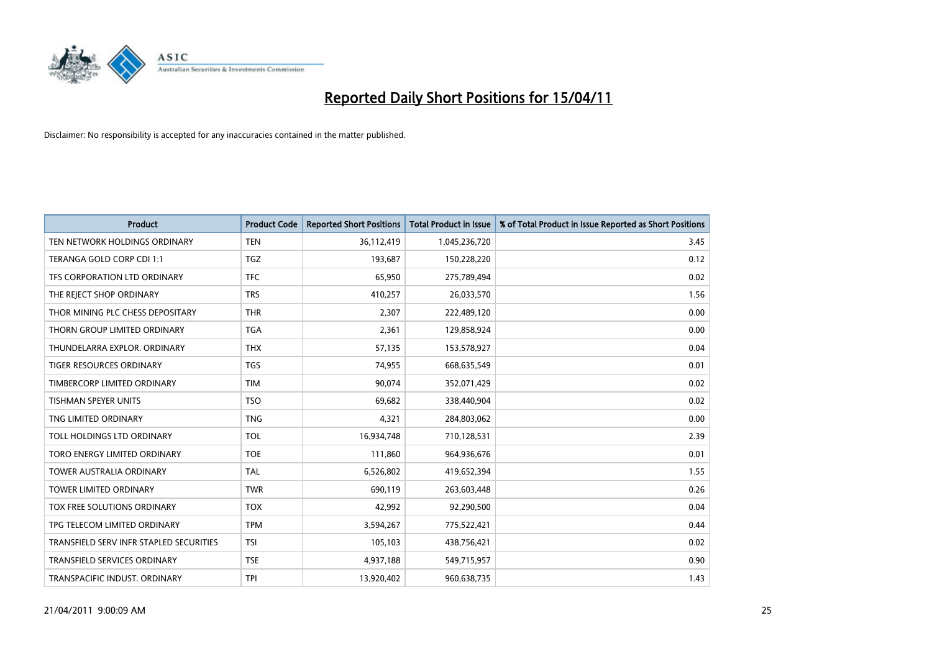

| <b>Product</b>                          | <b>Product Code</b> | <b>Reported Short Positions</b> | Total Product in Issue | % of Total Product in Issue Reported as Short Positions |
|-----------------------------------------|---------------------|---------------------------------|------------------------|---------------------------------------------------------|
| TEN NETWORK HOLDINGS ORDINARY           | <b>TEN</b>          | 36,112,419                      | 1,045,236,720          | 3.45                                                    |
| TERANGA GOLD CORP CDI 1:1               | <b>TGZ</b>          | 193,687                         | 150,228,220            | 0.12                                                    |
| TFS CORPORATION LTD ORDINARY            | <b>TFC</b>          | 65,950                          | 275,789,494            | 0.02                                                    |
| THE REJECT SHOP ORDINARY                | <b>TRS</b>          | 410,257                         | 26,033,570             | 1.56                                                    |
| THOR MINING PLC CHESS DEPOSITARY        | <b>THR</b>          | 2,307                           | 222,489,120            | 0.00                                                    |
| THORN GROUP LIMITED ORDINARY            | <b>TGA</b>          | 2,361                           | 129,858,924            | 0.00                                                    |
| THUNDELARRA EXPLOR, ORDINARY            | <b>THX</b>          | 57,135                          | 153,578,927            | 0.04                                                    |
| <b>TIGER RESOURCES ORDINARY</b>         | <b>TGS</b>          | 74,955                          | 668,635,549            | 0.01                                                    |
| TIMBERCORP LIMITED ORDINARY             | <b>TIM</b>          | 90,074                          | 352,071,429            | 0.02                                                    |
| <b>TISHMAN SPEYER UNITS</b>             | <b>TSO</b>          | 69,682                          | 338,440,904            | 0.02                                                    |
| TNG LIMITED ORDINARY                    | <b>TNG</b>          | 4,321                           | 284,803,062            | 0.00                                                    |
| TOLL HOLDINGS LTD ORDINARY              | <b>TOL</b>          | 16,934,748                      | 710,128,531            | 2.39                                                    |
| TORO ENERGY LIMITED ORDINARY            | <b>TOE</b>          | 111,860                         | 964,936,676            | 0.01                                                    |
| <b>TOWER AUSTRALIA ORDINARY</b>         | <b>TAL</b>          | 6,526,802                       | 419,652,394            | 1.55                                                    |
| <b>TOWER LIMITED ORDINARY</b>           | <b>TWR</b>          | 690,119                         | 263,603,448            | 0.26                                                    |
| TOX FREE SOLUTIONS ORDINARY             | <b>TOX</b>          | 42,992                          | 92,290,500             | 0.04                                                    |
| TPG TELECOM LIMITED ORDINARY            | <b>TPM</b>          | 3,594,267                       | 775,522,421            | 0.44                                                    |
| TRANSFIELD SERV INFR STAPLED SECURITIES | <b>TSI</b>          | 105,103                         | 438,756,421            | 0.02                                                    |
| <b>TRANSFIELD SERVICES ORDINARY</b>     | <b>TSE</b>          | 4,937,188                       | 549,715,957            | 0.90                                                    |
| TRANSPACIFIC INDUST, ORDINARY           | <b>TPI</b>          | 13,920,402                      | 960,638,735            | 1.43                                                    |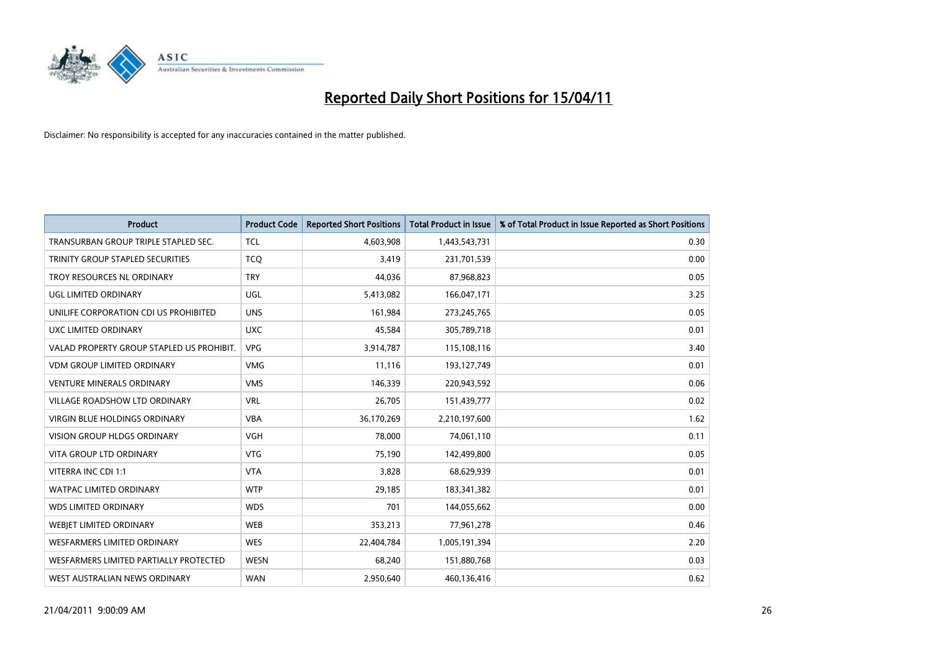

| <b>Product</b>                            | <b>Product Code</b> | <b>Reported Short Positions</b> | <b>Total Product in Issue</b> | % of Total Product in Issue Reported as Short Positions |
|-------------------------------------------|---------------------|---------------------------------|-------------------------------|---------------------------------------------------------|
| TRANSURBAN GROUP TRIPLE STAPLED SEC.      | <b>TCL</b>          | 4,603,908                       | 1,443,543,731                 | 0.30                                                    |
| TRINITY GROUP STAPLED SECURITIES          | <b>TCQ</b>          | 3,419                           | 231,701,539                   | 0.00                                                    |
| TROY RESOURCES NL ORDINARY                | <b>TRY</b>          | 44,036                          | 87,968,823                    | 0.05                                                    |
| UGL LIMITED ORDINARY                      | <b>UGL</b>          | 5,413,082                       | 166,047,171                   | 3.25                                                    |
| UNILIFE CORPORATION CDI US PROHIBITED     | <b>UNS</b>          | 161,984                         | 273,245,765                   | 0.05                                                    |
| UXC LIMITED ORDINARY                      | <b>UXC</b>          | 45,584                          | 305,789,718                   | 0.01                                                    |
| VALAD PROPERTY GROUP STAPLED US PROHIBIT. | <b>VPG</b>          | 3,914,787                       | 115,108,116                   | 3.40                                                    |
| <b>VDM GROUP LIMITED ORDINARY</b>         | <b>VMG</b>          | 11,116                          | 193,127,749                   | 0.01                                                    |
| <b>VENTURE MINERALS ORDINARY</b>          | <b>VMS</b>          | 146,339                         | 220,943,592                   | 0.06                                                    |
| VILLAGE ROADSHOW LTD ORDINARY             | <b>VRL</b>          | 26,705                          | 151,439,777                   | 0.02                                                    |
| VIRGIN BLUE HOLDINGS ORDINARY             | <b>VBA</b>          | 36,170,269                      | 2,210,197,600                 | 1.62                                                    |
| <b>VISION GROUP HLDGS ORDINARY</b>        | VGH                 | 78,000                          | 74,061,110                    | 0.11                                                    |
| <b>VITA GROUP LTD ORDINARY</b>            | <b>VTG</b>          | 75,190                          | 142,499,800                   | 0.05                                                    |
| VITERRA INC CDI 1:1                       | <b>VTA</b>          | 3,828                           | 68,629,939                    | 0.01                                                    |
| <b>WATPAC LIMITED ORDINARY</b>            | <b>WTP</b>          | 29,185                          | 183,341,382                   | 0.01                                                    |
| <b>WDS LIMITED ORDINARY</b>               | <b>WDS</b>          | 701                             | 144,055,662                   | 0.00                                                    |
| WEBIET LIMITED ORDINARY                   | <b>WEB</b>          | 353,213                         | 77,961,278                    | 0.46                                                    |
| <b>WESFARMERS LIMITED ORDINARY</b>        | <b>WES</b>          | 22,404,784                      | 1,005,191,394                 | 2.20                                                    |
| WESFARMERS LIMITED PARTIALLY PROTECTED    | <b>WESN</b>         | 68,240                          | 151,880,768                   | 0.03                                                    |
| WEST AUSTRALIAN NEWS ORDINARY             | <b>WAN</b>          | 2,950,640                       | 460,136,416                   | 0.62                                                    |